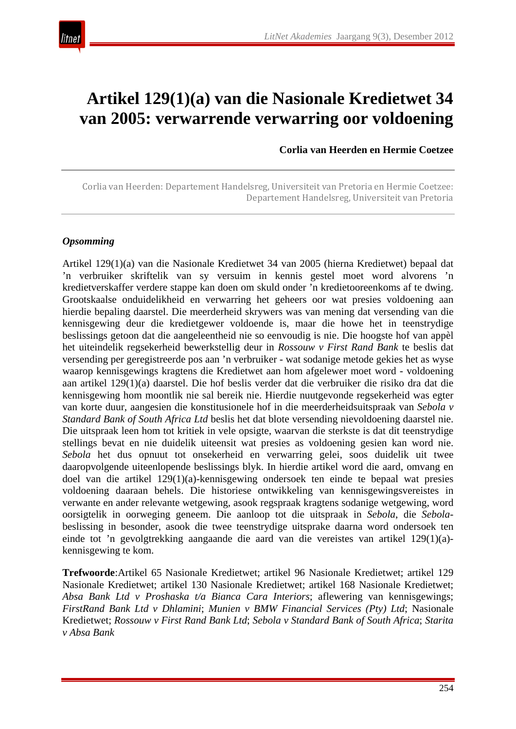

# **Artikel 129(1)(a) van die Nasionale Kredietwet 34 van 2005: verwarrende verwarring oor voldoening**

**Corlia van Heerden en Hermie Coetzee**

Corlia van Heerden: Departement Handelsreg, Universiteit van Pretoria en Hermie Coetzee: Departement Handelsreg, Universiteit van Pretoria

#### *Opsomming*

Artikel 129(1)(a) van die Nasionale Kredietwet 34 van 2005 (hierna Kredietwet) bepaal dat 'n verbruiker skriftelik van sy versuim in kennis gestel moet word alvorens 'n kredietverskaffer verdere stappe kan doen om skuld onder 'n kredietooreenkoms af te dwing. Grootskaalse onduidelikheid en verwarring het geheers oor wat presies voldoening aan hierdie bepaling daarstel. Die meerderheid skrywers was van mening dat versending van die kennisgewing deur die kredietgewer voldoende is, maar die howe het in teenstrydige beslissings getoon dat die aangeleentheid nie so eenvoudig is nie. Die hoogste hof van appèl het uiteindelik regsekerheid bewerkstellig deur in *Rossouw v First Rand Bank* te beslis dat versending per geregistreerde pos aan 'n verbruiker - wat sodanige metode gekies het as wyse waarop kennisgewings kragtens die Kredietwet aan hom afgelewer moet word - voldoening aan artikel 129(1)(a) daarstel. Die hof beslis verder dat die verbruiker die risiko dra dat die kennisgewing hom moontlik nie sal bereik nie. Hierdie nuutgevonde regsekerheid was egter van korte duur, aangesien die konstitusionele hof in die meerderheidsuitspraak van *Sebola v Standard Bank of South Africa Ltd* beslis het dat blote versending nievoldoening daarstel nie. Die uitspraak leen hom tot kritiek in vele opsigte, waarvan die sterkste is dat dit teenstrydige stellings bevat en nie duidelik uiteensit wat presies as voldoening gesien kan word nie. *Sebola* het dus opnuut tot onsekerheid en verwarring gelei, soos duidelik uit twee daaropvolgende uiteenlopende beslissings blyk. In hierdie artikel word die aard, omvang en doel van die artikel 129(1)(a)-kennisgewing ondersoek ten einde te bepaal wat presies voldoening daaraan behels. Die historiese ontwikkeling van kennisgewingsvereistes in verwante en ander relevante wetgewing, asook regspraak kragtens sodanige wetgewing, word oorsigtelik in oorweging geneem. Die aanloop tot die uitspraak in *Sebola*, die *Sebola*beslissing in besonder, asook die twee teenstrydige uitsprake daarna word ondersoek ten einde tot 'n gevolgtrekking aangaande die aard van die vereistes van artikel 129(1)(a) kennisgewing te kom.

**Trefwoorde**:Artikel 65 Nasionale Kredietwet; artikel 96 Nasionale Kredietwet; artikel 129 Nasionale Kredietwet; artikel 130 Nasionale Kredietwet; artikel 168 Nasionale Kredietwet; *Absa Bank Ltd v Proshaska t/a Bianca Cara Interiors*; aflewering van kennisgewings; *FirstRand Bank Ltd v Dhlamini*; *Munien v BMW Financial Services (Pty) Ltd*; Nasionale Kredietwet; *Rossouw v First Rand Bank Ltd*; *Sebola v Standard Bank of South Africa*; *Starita v Absa Bank*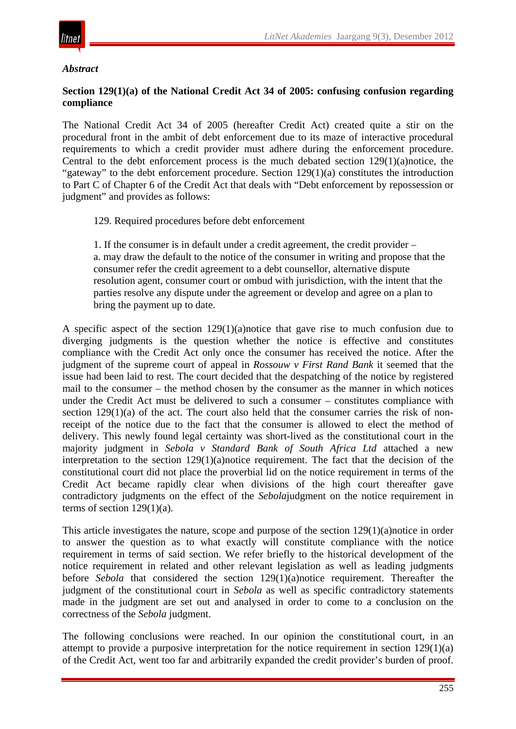

#### *Abstract*

#### **Section 129(1)(a) of the National Credit Act 34 of 2005: confusing confusion regarding compliance**

The National Credit Act 34 of 2005 (hereafter Credit Act) created quite a stir on the procedural front in the ambit of debt enforcement due to its maze of interactive procedural requirements to which a credit provider must adhere during the enforcement procedure. Central to the debt enforcement process is the much debated section 129(1)(a)notice, the "gateway" to the debt enforcement procedure. Section 129(1)(a) constitutes the introduction to Part C of Chapter 6 of the Credit Act that deals with "Debt enforcement by repossession or judgment" and provides as follows:

129. Required procedures before debt enforcement

1. If the consumer is in default under a credit agreement, the credit provider – a. may draw the default to the notice of the consumer in writing and propose that the consumer refer the credit agreement to a debt counsellor, alternative dispute resolution agent, consumer court or ombud with jurisdiction, with the intent that the parties resolve any dispute under the agreement or develop and agree on a plan to bring the payment up to date.

A specific aspect of the section 129(1)(a)notice that gave rise to much confusion due to diverging judgments is the question whether the notice is effective and constitutes compliance with the Credit Act only once the consumer has received the notice. After the judgment of the supreme court of appeal in *Rossouw v First Rand Bank* it seemed that the issue had been laid to rest. The court decided that the despatching of the notice by registered mail to the consumer – the method chosen by the consumer as the manner in which notices under the Credit Act must be delivered to such a consumer – constitutes compliance with section  $129(1)(a)$  of the act. The court also held that the consumer carries the risk of nonreceipt of the notice due to the fact that the consumer is allowed to elect the method of delivery. This newly found legal certainty was short-lived as the constitutional court in the majority judgment in *Sebola v Standard Bank of South Africa Ltd* attached a new interpretation to the section 129(1)(a)notice requirement. The fact that the decision of the constitutional court did not place the proverbial lid on the notice requirement in terms of the Credit Act became rapidly clear when divisions of the high court thereafter gave contradictory judgments on the effect of the *Sebola*judgment on the notice requirement in terms of section  $129(1)(a)$ .

This article investigates the nature, scope and purpose of the section 129(1)(a)notice in order to answer the question as to what exactly will constitute compliance with the notice requirement in terms of said section. We refer briefly to the historical development of the notice requirement in related and other relevant legislation as well as leading judgments before *Sebola* that considered the section 129(1)(a)notice requirement. Thereafter the judgment of the constitutional court in *Sebola* as well as specific contradictory statements made in the judgment are set out and analysed in order to come to a conclusion on the correctness of the *Sebola* judgment.

The following conclusions were reached. In our opinion the constitutional court, in an attempt to provide a purposive interpretation for the notice requirement in section 129(1)(a) of the Credit Act, went too far and arbitrarily expanded the credit provider's burden of proof.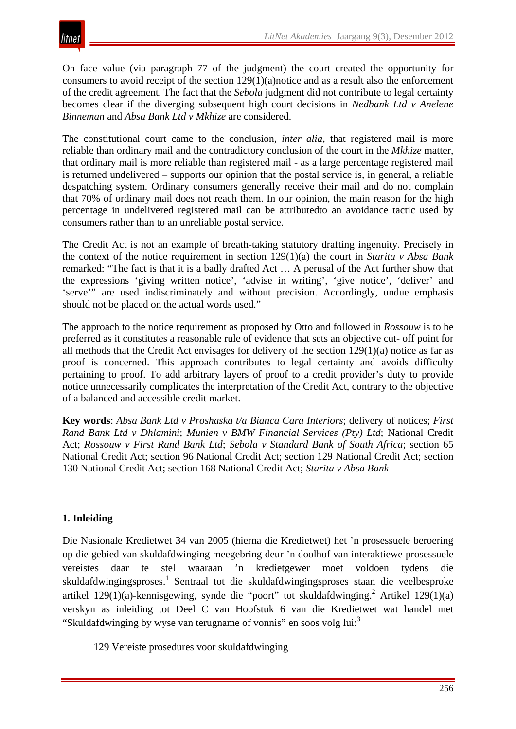On face value (via paragraph 77 of the judgment) the court created the opportunity for consumers to avoid receipt of the section 129(1)(a)notice and as a result also the enforcement of the credit agreement. The fact that the *Sebola* judgment did not contribute to legal certainty becomes clear if the diverging subsequent high court decisions in *Nedbank Ltd v Anelene Binneman* and *Absa Bank Ltd v Mkhize* are considered.

The constitutional court came to the conclusion, *inter alia*, that registered mail is more reliable than ordinary mail and the contradictory conclusion of the court in the *Mkhize* matter, that ordinary mail is more reliable than registered mail - as a large percentage registered mail is returned undelivered – supports our opinion that the postal service is, in general, a reliable despatching system. Ordinary consumers generally receive their mail and do not complain that 70% of ordinary mail does not reach them. In our opinion, the main reason for the high percentage in undelivered registered mail can be attributedto an avoidance tactic used by consumers rather than to an unreliable postal service.

The Credit Act is not an example of breath-taking statutory drafting ingenuity. Precisely in the context of the notice requirement in section 129(1)(a) the court in *Starita v Absa Bank* remarked: "The fact is that it is a badly drafted Act … A perusal of the Act further show that the expressions 'giving written notice', 'advise in writing', 'give notice', 'deliver' and 'serve'" are used indiscriminately and without precision. Accordingly, undue emphasis should not be placed on the actual words used."

The approach to the notice requirement as proposed by Otto and followed in *Rossouw* is to be preferred as it constitutes a reasonable rule of evidence that sets an objective cut- off point for all methods that the Credit Act envisages for delivery of the section 129(1)(a) notice as far as proof is concerned. This approach contributes to legal certainty and avoids difficulty pertaining to proof. To add arbitrary layers of proof to a credit provider's duty to provide notice unnecessarily complicates the interpretation of the Credit Act, contrary to the objective of a balanced and accessible credit market.

**Key words**: *Absa Bank Ltd v Proshaska t/a Bianca Cara Interiors*; delivery of notices; *First Rand Bank Ltd v Dhlamini*; *Munien v BMW Financial Services (Pty) Ltd*; National Credit Act; *Rossouw v First Rand Bank Ltd*; *Sebola v Standard Bank of South Africa*; section 65 National Credit Act; section 96 National Credit Act; section 129 National Credit Act; section 130 National Credit Act; section 168 National Credit Act; *Starita v Absa Bank*

# **1. Inleiding**

Die Nasionale Kredietwet 34 van 2005 (hierna die Kredietwet) het 'n prosessuele beroering op die gebied van skuldafdwinging meegebring deur 'n doolhof van interaktiewe prosessuele vereistes daar te stel waaraan 'n kredietgewer moet voldoen tydens die skuldafdwingingsproses.1 Sentraal tot die skuldafdwingingsproses staan die veelbesproke artikel 129(1)(a)-kennisgewing, synde die "poort" tot skuldafdwinging.<sup>2</sup> Artikel 129(1)(a) verskyn as inleiding tot Deel C van Hoofstuk 6 van die Kredietwet wat handel met "Skuldafdwinging by wyse van terugname of vonnis" en soos volg lui:<sup>3</sup>

129 Vereiste prosedures voor skuldafdwinging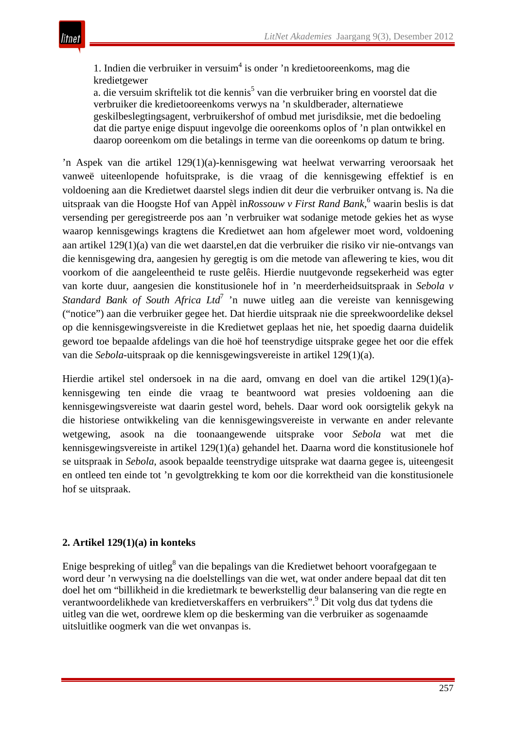

1. Indien die verbruiker in versuim<sup>4</sup> is onder 'n kredietooreenkoms, mag die kredietgewer

a. die versuim skriftelik tot die kennis<sup>5</sup> van die verbruiker bring en voorstel dat die verbruiker die kredietooreenkoms verwys na 'n skuldberader, alternatiewe geskilbeslegtingsagent, verbruikershof of ombud met jurisdiksie, met die bedoeling dat die partye enige dispuut ingevolge die ooreenkoms oplos of 'n plan ontwikkel en daarop ooreenkom om die betalings in terme van die ooreenkoms op datum te bring.

'n Aspek van die artikel 129(1)(a)-kennisgewing wat heelwat verwarring veroorsaak het vanweë uiteenlopende hofuitsprake, is die vraag of die kennisgewing effektief is en voldoening aan die Kredietwet daarstel slegs indien dit deur die verbruiker ontvang is. Na die uitspraak van die Hoogste Hof van Appèl in*Rossouw v First Rand Bank*, <sup>6</sup> waarin beslis is dat versending per geregistreerde pos aan 'n verbruiker wat sodanige metode gekies het as wyse waarop kennisgewings kragtens die Kredietwet aan hom afgelewer moet word, voldoening aan artikel 129(1)(a) van die wet daarstel,en dat die verbruiker die risiko vir nie-ontvangs van die kennisgewing dra, aangesien hy geregtig is om die metode van aflewering te kies, wou dit voorkom of die aangeleentheid te ruste gelêis. Hierdie nuutgevonde regsekerheid was egter van korte duur, aangesien die konstitusionele hof in 'n meerderheidsuitspraak in *Sebola v Standard Bank of South Africa Ltd*<sup>7</sup> 'n nuwe uitleg aan die vereiste van kennisgewing ("notice") aan die verbruiker gegee het. Dat hierdie uitspraak nie die spreekwoordelike deksel op die kennisgewingsvereiste in die Kredietwet geplaas het nie, het spoedig daarna duidelik geword toe bepaalde afdelings van die hoë hof teenstrydige uitsprake gegee het oor die effek van die *Sebola*-uitspraak op die kennisgewingsvereiste in artikel 129(1)(a).

Hierdie artikel stel ondersoek in na die aard, omvang en doel van die artikel 129(1)(a) kennisgewing ten einde die vraag te beantwoord wat presies voldoening aan die kennisgewingsvereiste wat daarin gestel word, behels. Daar word ook oorsigtelik gekyk na die historiese ontwikkeling van die kennisgewingsvereiste in verwante en ander relevante wetgewing, asook na die toonaangewende uitsprake voor *Sebola* wat met die kennisgewingsvereiste in artikel 129(1)(a) gehandel het. Daarna word die konstitusionele hof se uitspraak in *Sebola*, asook bepaalde teenstrydige uitsprake wat daarna gegee is, uiteengesit en ontleed ten einde tot 'n gevolgtrekking te kom oor die korrektheid van die konstitusionele hof se uitspraak.

## **2. Artikel 129(1)(a) in konteks**

Enige bespreking of uitleg<sup>8</sup> van die bepalings van die Kredietwet behoort voorafgegaan te word deur 'n verwysing na die doelstellings van die wet, wat onder andere bepaal dat dit ten doel het om "billikheid in die kredietmark te bewerkstellig deur balansering van die regte en verantwoordelikhede van kredietverskaffers en verbruikers".9 Dit volg dus dat tydens die uitleg van die wet, oordrewe klem op die beskerming van die verbruiker as sogenaamde uitsluitlike oogmerk van die wet onvanpas is.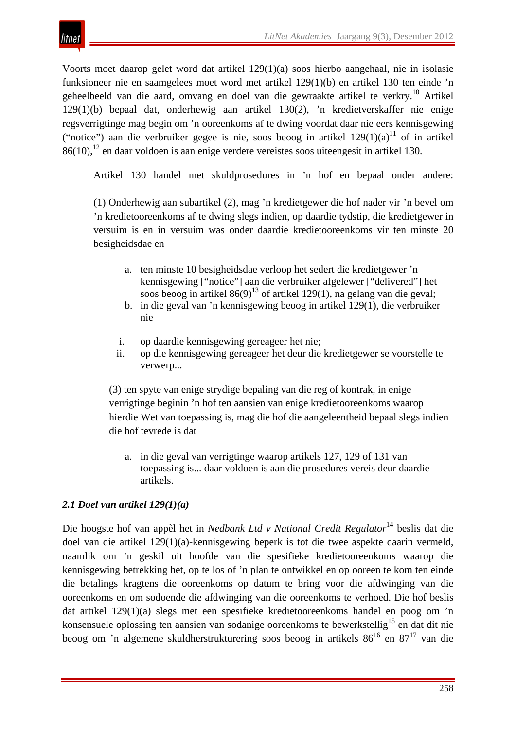itnet

Voorts moet daarop gelet word dat artikel 129(1)(a) soos hierbo aangehaal, nie in isolasie funksioneer nie en saamgelees moet word met artikel 129(1)(b) en artikel 130 ten einde 'n geheelbeeld van die aard, omvang en doel van die gewraakte artikel te verkry.<sup>10</sup> Artikel 129(1)(b) bepaal dat, onderhewig aan artikel 130(2), 'n kredietverskaffer nie enige regsverrigtinge mag begin om 'n ooreenkoms af te dwing voordat daar nie eers kennisgewing ("notice") aan die verbruiker gegee is nie, soos beoog in artikel  $129(1)(a)^{11}$  of in artikel  $86(10)$ ,  $^{12}$  en daar voldoen is aan enige verdere vereistes soos uiteengesit in artikel 130.

Artikel 130 handel met skuldprosedures in 'n hof en bepaal onder andere:

(1) Onderhewig aan subartikel (2), mag 'n kredietgewer die hof nader vir 'n bevel om 'n kredietooreenkoms af te dwing slegs indien, op daardie tydstip, die kredietgewer in versuim is en in versuim was onder daardie kredietooreenkoms vir ten minste 20 besigheidsdae en

- a. ten minste 10 besigheidsdae verloop het sedert die kredietgewer 'n kennisgewing ["notice"] aan die verbruiker afgelewer ["delivered"] het soos beoog in artikel  $86(9)^{13}$  of artikel 129(1), na gelang van die geval;
- b. in die geval van 'n kennisgewing beoog in artikel 129(1), die verbruiker nie
- i. op daardie kennisgewing gereageer het nie;
- ii. op die kennisgewing gereageer het deur die kredietgewer se voorstelle te verwerp...

(3) ten spyte van enige strydige bepaling van die reg of kontrak, in enige verrigtinge beginin 'n hof ten aansien van enige kredietooreenkoms waarop hierdie Wet van toepassing is, mag die hof die aangeleentheid bepaal slegs indien die hof tevrede is dat

a. in die geval van verrigtinge waarop artikels 127, 129 of 131 van toepassing is... daar voldoen is aan die prosedures vereis deur daardie artikels.

## *2.1 Doel van artikel 129(1)(a)*

Die hoogste hof van appèl het in *Nedbank Ltd v National Credit Regulator*<sup>14</sup> beslis dat die doel van die artikel 129(1)(a)-kennisgewing beperk is tot die twee aspekte daarin vermeld, naamlik om 'n geskil uit hoofde van die spesifieke kredietooreenkoms waarop die kennisgewing betrekking het, op te los of 'n plan te ontwikkel en op ooreen te kom ten einde die betalings kragtens die ooreenkoms op datum te bring voor die afdwinging van die ooreenkoms en om sodoende die afdwinging van die ooreenkoms te verhoed. Die hof beslis dat artikel 129(1)(a) slegs met een spesifieke kredietooreenkoms handel en poog om 'n konsensuele oplossing ten aansien van sodanige ooreenkoms te bewerkstellig<sup>15</sup> en dat dit nie beoog om 'n algemene skuldherstrukturering soos beoog in artikels 86<sup>16</sup> en 87<sup>17</sup> van die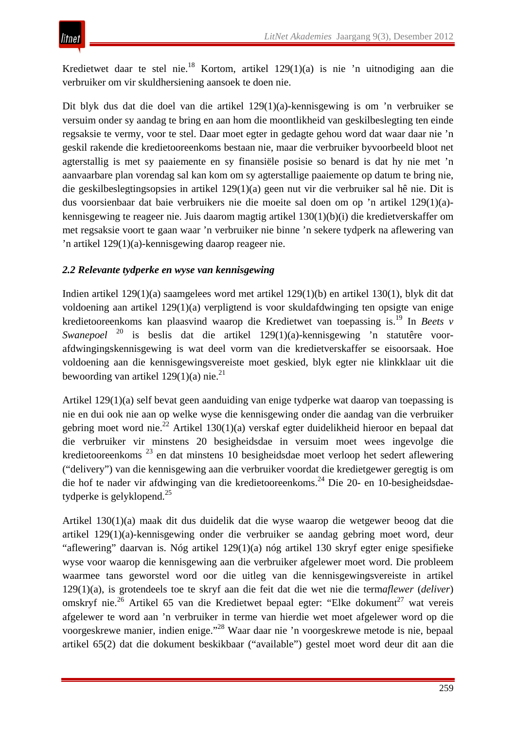Kredietwet daar te stel nie.18 Kortom, artikel 129(1)(a) is nie 'n uitnodiging aan die verbruiker om vir skuldhersiening aansoek te doen nie.

Dit blyk dus dat die doel van die artikel 129(1)(a)-kennisgewing is om 'n verbruiker se versuim onder sy aandag te bring en aan hom die moontlikheid van geskilbeslegting ten einde regsaksie te vermy, voor te stel. Daar moet egter in gedagte gehou word dat waar daar nie 'n geskil rakende die kredietooreenkoms bestaan nie, maar die verbruiker byvoorbeeld bloot net agterstallig is met sy paaiemente en sy finansiële posisie so benard is dat hy nie met 'n aanvaarbare plan vorendag sal kan kom om sy agterstallige paaiemente op datum te bring nie, die geskilbeslegtingsopsies in artikel 129(1)(a) geen nut vir die verbruiker sal hê nie. Dit is dus voorsienbaar dat baie verbruikers nie die moeite sal doen om op 'n artikel 129(1)(a) kennisgewing te reageer nie. Juis daarom magtig artikel 130(1)(b)(i) die kredietverskaffer om met regsaksie voort te gaan waar 'n verbruiker nie binne 'n sekere tydperk na aflewering van 'n artikel 129(1)(a)-kennisgewing daarop reageer nie.

# *2.2 Relevante tydperke en wyse van kennisgewing*

Indien artikel 129(1)(a) saamgelees word met artikel 129(1)(b) en artikel 130(1), blyk dit dat voldoening aan artikel 129(1)(a) verpligtend is voor skuldafdwinging ten opsigte van enige kredietooreenkoms kan plaasvind waarop die Kredietwet van toepassing is.19 In *Beets v Swanepoel* <sup>20</sup> is beslis dat die artikel 129(1)(a)-kennisgewing 'n statutêre voorafdwingingskennisgewing is wat deel vorm van die kredietverskaffer se eisoorsaak. Hoe voldoening aan die kennisgewingsvereiste moet geskied, blyk egter nie klinkklaar uit die bewoording van artikel 129(1)(a) nie.<sup>21</sup>

Artikel 129(1)(a) self bevat geen aanduiding van enige tydperke wat daarop van toepassing is nie en dui ook nie aan op welke wyse die kennisgewing onder die aandag van die verbruiker gebring moet word nie.<sup>22</sup> Artikel 130(1)(a) verskaf egter duidelikheid hieroor en bepaal dat die verbruiker vir minstens 20 besigheidsdae in versuim moet wees ingevolge die kredietooreenkoms <sup>23</sup> en dat minstens 10 besigheidsdae moet verloop het sedert aflewering ("delivery") van die kennisgewing aan die verbruiker voordat die kredietgewer geregtig is om die hof te nader vir afdwinging van die kredietooreenkoms.<sup>24</sup> Die 20- en 10-besigheidsdaetydperke is gelyklopend.<sup>25</sup>

Artikel 130(1)(a) maak dit dus duidelik dat die wyse waarop die wetgewer beoog dat die artikel 129(1)(a)-kennisgewing onder die verbruiker se aandag gebring moet word, deur "aflewering" daarvan is. Nóg artikel 129(1)(a) nóg artikel 130 skryf egter enige spesifieke wyse voor waarop die kennisgewing aan die verbruiker afgelewer moet word. Die probleem waarmee tans geworstel word oor die uitleg van die kennisgewingsvereiste in artikel 129(1)(a), is grotendeels toe te skryf aan die feit dat die wet nie die term*aflewer* (*deliver*) omskryf nie.<sup>26</sup> Artikel 65 van die Kredietwet bepaal egter: "Elke dokument<sup>27</sup> wat vereis afgelewer te word aan 'n verbruiker in terme van hierdie wet moet afgelewer word op die voorgeskrewe manier, indien enige."<sup>28</sup> Waar daar nie 'n voorgeskrewe metode is nie, bepaal artikel 65(2) dat die dokument beskikbaar ("available") gestel moet word deur dit aan die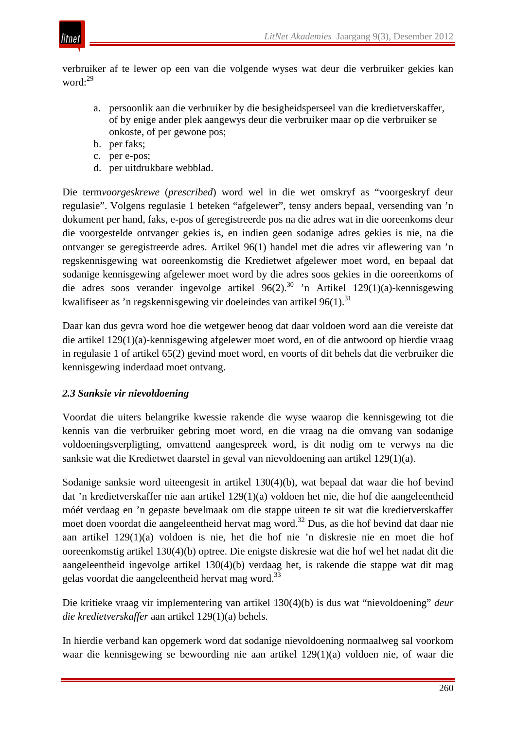

verbruiker af te lewer op een van die volgende wyses wat deur die verbruiker gekies kan word:<sup>29</sup>

- a. persoonlik aan die verbruiker by die besigheidsperseel van die kredietverskaffer, of by enige ander plek aangewys deur die verbruiker maar op die verbruiker se onkoste, of per gewone pos;
- b. per faks;
- c. per e-pos;
- d. per uitdrukbare webblad.

Die term*voorgeskrewe* (*prescribed*) word wel in die wet omskryf as "voorgeskryf deur regulasie". Volgens regulasie 1 beteken "afgelewer", tensy anders bepaal, versending van 'n dokument per hand, faks, e-pos of geregistreerde pos na die adres wat in die ooreenkoms deur die voorgestelde ontvanger gekies is, en indien geen sodanige adres gekies is nie, na die ontvanger se geregistreerde adres. Artikel 96(1) handel met die adres vir aflewering van 'n regskennisgewing wat ooreenkomstig die Kredietwet afgelewer moet word, en bepaal dat sodanige kennisgewing afgelewer moet word by die adres soos gekies in die ooreenkoms of die adres soos verander ingevolge artikel  $96(2).^{30}$  'n Artikel 129(1)(a)-kennisgewing kwalifiseer as 'n regskennisgewing vir doeleindes van artikel  $96(1)$ .<sup>31</sup>

Daar kan dus gevra word hoe die wetgewer beoog dat daar voldoen word aan die vereiste dat die artikel 129(1)(a)-kennisgewing afgelewer moet word, en of die antwoord op hierdie vraag in regulasie 1 of artikel 65(2) gevind moet word, en voorts of dit behels dat die verbruiker die kennisgewing inderdaad moet ontvang.

## *2.3 Sanksie vir nievoldoening*

Voordat die uiters belangrike kwessie rakende die wyse waarop die kennisgewing tot die kennis van die verbruiker gebring moet word, en die vraag na die omvang van sodanige voldoeningsverpligting, omvattend aangespreek word, is dit nodig om te verwys na die sanksie wat die Kredietwet daarstel in geval van nievoldoening aan artikel 129(1)(a).

Sodanige sanksie word uiteengesit in artikel 130(4)(b), wat bepaal dat waar die hof bevind dat 'n kredietverskaffer nie aan artikel 129(1)(a) voldoen het nie, die hof die aangeleentheid móét verdaag en 'n gepaste bevelmaak om die stappe uiteen te sit wat die kredietverskaffer moet doen voordat die aangeleentheid hervat mag word.<sup>32</sup> Dus, as die hof bevind dat daar nie aan artikel 129(1)(a) voldoen is nie, het die hof nie 'n diskresie nie en moet die hof ooreenkomstig artikel 130(4)(b) optree. Die enigste diskresie wat die hof wel het nadat dit die aangeleentheid ingevolge artikel 130(4)(b) verdaag het, is rakende die stappe wat dit mag gelas voordat die aangeleentheid hervat mag word.<sup>33</sup>

Die kritieke vraag vir implementering van artikel 130(4)(b) is dus wat "nievoldoening" *deur die kredietverskaffer* aan artikel 129(1)(a) behels.

In hierdie verband kan opgemerk word dat sodanige nievoldoening normaalweg sal voorkom waar die kennisgewing se bewoording nie aan artikel 129(1)(a) voldoen nie, of waar die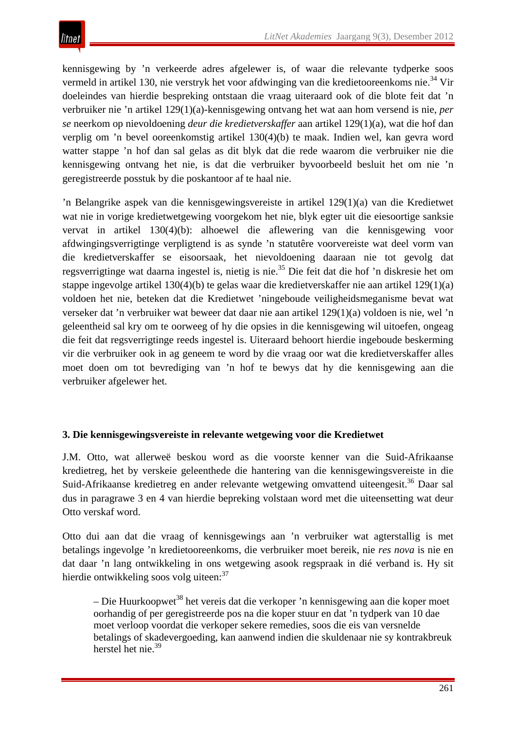kennisgewing by 'n verkeerde adres afgelewer is, of waar die relevante tydperke soos vermeld in artikel 130, nie verstryk het voor afdwinging van die kredietooreenkoms nie.<sup>34</sup> Vir doeleindes van hierdie bespreking ontstaan die vraag uiteraard ook of die blote feit dat 'n verbruiker nie 'n artikel 129(1)(a)-kennisgewing ontvang het wat aan hom versend is nie, *per se* neerkom op nievoldoening *deur die kredietverskaffer* aan artikel 129(1)(a), wat die hof dan verplig om 'n bevel ooreenkomstig artikel 130(4)(b) te maak. Indien wel, kan gevra word watter stappe 'n hof dan sal gelas as dit blyk dat die rede waarom die verbruiker nie die kennisgewing ontvang het nie, is dat die verbruiker byvoorbeeld besluit het om nie 'n geregistreerde posstuk by die poskantoor af te haal nie.

'n Belangrike aspek van die kennisgewingsvereiste in artikel 129(1)(a) van die Kredietwet wat nie in vorige kredietwetgewing voorgekom het nie, blyk egter uit die eiesoortige sanksie vervat in artikel 130(4)(b): alhoewel die aflewering van die kennisgewing voor afdwingingsverrigtinge verpligtend is as synde 'n statutêre voorvereiste wat deel vorm van die kredietverskaffer se eisoorsaak, het nievoldoening daaraan nie tot gevolg dat regsverrigtinge wat daarna ingestel is, nietig is nie.35 Die feit dat die hof 'n diskresie het om stappe ingevolge artikel 130(4)(b) te gelas waar die kredietverskaffer nie aan artikel 129(1)(a) voldoen het nie, beteken dat die Kredietwet 'ningeboude veiligheidsmeganisme bevat wat verseker dat 'n verbruiker wat beweer dat daar nie aan artikel 129(1)(a) voldoen is nie, wel 'n geleentheid sal kry om te oorweeg of hy die opsies in die kennisgewing wil uitoefen, ongeag die feit dat regsverrigtinge reeds ingestel is. Uiteraard behoort hierdie ingeboude beskerming vir die verbruiker ook in ag geneem te word by die vraag oor wat die kredietverskaffer alles moet doen om tot bevrediging van 'n hof te bewys dat hy die kennisgewing aan die verbruiker afgelewer het.

# **3. Die kennisgewingsvereiste in relevante wetgewing voor die Kredietwet**

J.M. Otto, wat allerweë beskou word as die voorste kenner van die Suid-Afrikaanse kredietreg, het by verskeie geleenthede die hantering van die kennisgewingsvereiste in die Suid-Afrikaanse kredietreg en ander relevante wetgewing omvattend uiteengesit.<sup>36</sup> Daar sal dus in paragrawe 3 en 4 van hierdie bepreking volstaan word met die uiteensetting wat deur Otto verskaf word.

Otto dui aan dat die vraag of kennisgewings aan 'n verbruiker wat agterstallig is met betalings ingevolge 'n kredietooreenkoms, die verbruiker moet bereik, nie *res nova* is nie en dat daar 'n lang ontwikkeling in ons wetgewing asook regspraak in dié verband is. Hy sit hierdie ontwikkeling soos volg uiteen:<sup>37</sup>

 $-$  Die Huurkoopwet<sup>38</sup> het vereis dat die verkoper 'n kennisgewing aan die koper moet oorhandig of per geregistreerde pos na die koper stuur en dat 'n tydperk van 10 dae moet verloop voordat die verkoper sekere remedies, soos die eis van versnelde betalings of skadevergoeding, kan aanwend indien die skuldenaar nie sy kontrakbreuk herstel het nie.<sup>39</sup>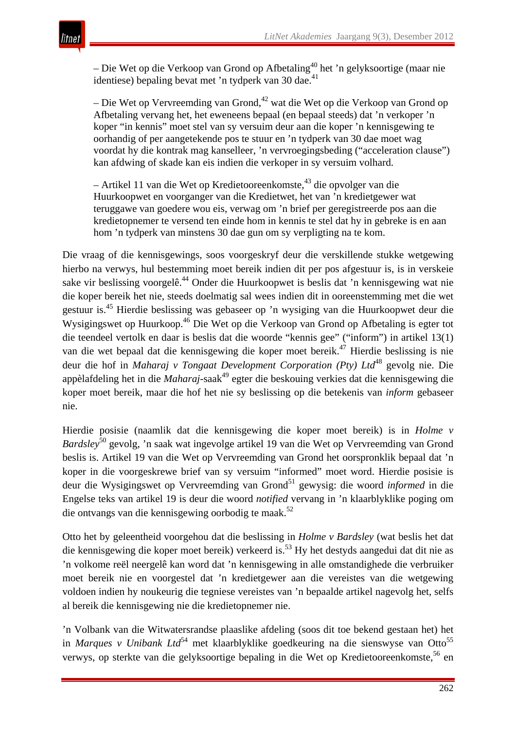– Die Wet op die Verkoop van Grond op Afbetaling<sup>40</sup> het 'n gelyksoortige (maar nie identiese) bepaling bevat met 'n tydperk van 30 dae.<sup>41</sup>

– Die Wet op Vervreemding van Grond,  $42$  wat die Wet op die Verkoop van Grond op Afbetaling vervang het, het eweneens bepaal (en bepaal steeds) dat 'n verkoper 'n koper "in kennis" moet stel van sy versuim deur aan die koper 'n kennisgewing te oorhandig of per aangetekende pos te stuur en 'n tydperk van 30 dae moet wag voordat hy die kontrak mag kanselleer, 'n vervroegingsbeding ("acceleration clause") kan afdwing of skade kan eis indien die verkoper in sy versuim volhard.

 $-$  Artikel 11 van die Wet op Kredietooreenkomste,  $43$  die opvolger van die Huurkoopwet en voorganger van die Kredietwet, het van 'n kredietgewer wat teruggawe van goedere wou eis, verwag om 'n brief per geregistreerde pos aan die kredietopnemer te versend ten einde hom in kennis te stel dat hy in gebreke is en aan hom 'n tydperk van minstens 30 dae gun om sy verpligting na te kom.

Die vraag of die kennisgewings, soos voorgeskryf deur die verskillende stukke wetgewing hierbo na verwys, hul bestemming moet bereik indien dit per pos afgestuur is, is in verskeie sake vir beslissing voorgelê.<sup>44</sup> Onder die Huurkoopwet is beslis dat 'n kennisgewing wat nie die koper bereik het nie, steeds doelmatig sal wees indien dit in ooreenstemming met die wet gestuur is.45 Hierdie beslissing was gebaseer op 'n wysiging van die Huurkoopwet deur die Wysigingswet op Huurkoop.<sup>46</sup> Die Wet op die Verkoop van Grond op Afbetaling is egter tot die teendeel vertolk en daar is beslis dat die woorde "kennis gee" ("inform") in artikel 13(1) van die wet bepaal dat die kennisgewing die koper moet bereik.<sup>47</sup> Hierdie beslissing is nie deur die hof in *Maharaj v Tongaat Development Corporation (Pty) Ltd*<sup>48</sup> gevolg nie. Die appèlafdeling het in die *Maharaj*-saak<sup>49</sup> egter die beskouing verkies dat die kennisgewing die koper moet bereik, maar die hof het nie sy beslissing op die betekenis van *inform* gebaseer nie.

Hierdie posisie (naamlik dat die kennisgewing die koper moet bereik) is in *Holme v Bardsley*<sup>50</sup> gevolg, 'n saak wat ingevolge artikel 19 van die Wet op Vervreemding van Grond beslis is. Artikel 19 van die Wet op Vervreemding van Grond het oorspronklik bepaal dat 'n koper in die voorgeskrewe brief van sy versuim "informed" moet word. Hierdie posisie is deur die Wysigingswet op Vervreemding van Grond51 gewysig: die woord *informed* in die Engelse teks van artikel 19 is deur die woord *notified* vervang in 'n klaarblyklike poging om die ontvangs van die kennisgewing oorbodig te maak.<sup>52</sup>

Otto het by geleentheid voorgehou dat die beslissing in *Holme v Bardsley* (wat beslis het dat die kennisgewing die koper moet bereik) verkeerd is.53 Hy het destyds aangedui dat dit nie as 'n volkome reël neergelê kan word dat 'n kennisgewing in alle omstandighede die verbruiker moet bereik nie en voorgestel dat 'n kredietgewer aan die vereistes van die wetgewing voldoen indien hy noukeurig die tegniese vereistes van 'n bepaalde artikel nagevolg het, selfs al bereik die kennisgewing nie die kredietopnemer nie.

'n Volbank van die Witwatersrandse plaaslike afdeling (soos dit toe bekend gestaan het) het in *Marques v Unibank Ltd*<sup>54</sup> met klaarblyklike goedkeuring na die sienswyse van Otto<sup>55</sup> verwys, op sterkte van die gelyksoortige bepaling in die Wet op Kredietooreenkomste,<sup>56</sup> en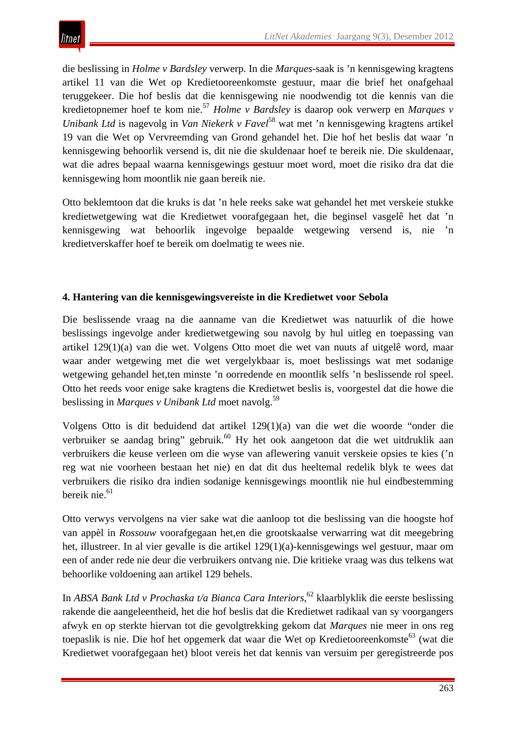die beslissing in *Holme v Bardsley* verwerp. In die *Marques*-saak is 'n kennisgewing kragtens artikel 11 van die Wet op Kredietooreenkomste gestuur, maar die brief het onafgehaal teruggekeer. Die hof beslis dat die kennisgewing nie noodwendig tot die kennis van die kredietopnemer hoef te kom nie.57 *Holme v Bardsley* is daarop ook verwerp en *Marques v Unibank Ltd* is nagevolg in *Van Niekerk v Favel*<sup>58</sup> wat met 'n kennisgewing kragtens artikel 19 van die Wet op Vervreemding van Grond gehandel het. Die hof het beslis dat waar 'n kennisgewing behoorlik versend is, dit nie die skuldenaar hoef te bereik nie. Die skuldenaar, wat die adres bepaal waarna kennisgewings gestuur moet word, moet die risiko dra dat die kennisgewing hom moontlik nie gaan bereik nie.

Otto beklemtoon dat die kruks is dat 'n hele reeks sake wat gehandel het met verskeie stukke kredietwetgewing wat die Kredietwet voorafgegaan het, die beginsel vasgelê het dat 'n kennisgewing wat behoorlik ingevolge bepaalde wetgewing versend is, nie 'n kredietverskaffer hoef te bereik om doelmatig te wees nie.

# **4. Hantering van die kennisgewingsvereiste in die Kredietwet voor Sebola**

Die beslissende vraag na die aanname van die Kredietwet was natuurlik of die howe beslissings ingevolge ander kredietwetgewing sou navolg by hul uitleg en toepassing van artikel 129(1)(a) van die wet. Volgens Otto moet die wet van nuuts af uitgelê word, maar waar ander wetgewing met die wet vergelykbaar is, moet beslissings wat met sodanige wetgewing gehandel het,ten minste 'n oorredende en moontlik selfs 'n beslissende rol speel. Otto het reeds voor enige sake kragtens die Kredietwet beslis is, voorgestel dat die howe die beslissing in *Marques v Unibank Ltd* moet navolg.<sup>59</sup>

Volgens Otto is dit beduidend dat artikel 129(1)(a) van die wet die woorde "onder die verbruiker se aandag bring" gebruik.<sup>60</sup> Hy het ook aangetoon dat die wet uitdruklik aan verbruikers die keuse verleen om die wyse van aflewering vanuit verskeie opsies te kies ('n reg wat nie voorheen bestaan het nie) en dat dit dus heeltemal redelik blyk te wees dat verbruikers die risiko dra indien sodanige kennisgewings moontlik nie hul eindbestemming bereik nie.<sup>61</sup>

Otto verwys vervolgens na vier sake wat die aanloop tot die beslissing van die hoogste hof van appèl in *Rossouw* voorafgegaan het,en die grootskaalse verwarring wat dit meegebring het, illustreer. In al vier gevalle is die artikel 129(1)(a)-kennisgewings wel gestuur, maar om een of ander rede nie deur die verbruikers ontvang nie. Die kritieke vraag was dus telkens wat behoorlike voldoening aan artikel 129 behels.

In *ABSA Bank Ltd v Prochaska t/a Bianca Cara Interiors*, <sup>62</sup> klaarblyklik die eerste beslissing rakende die aangeleentheid, het die hof beslis dat die Kredietwet radikaal van sy voorgangers afwyk en op sterkte hiervan tot die gevolgtrekking gekom dat *Marques* nie meer in ons reg toepaslik is nie. Die hof het opgemerk dat waar die Wet op Kredietooreenkomste<sup>63</sup> (wat die Kredietwet voorafgegaan het) bloot vereis het dat kennis van versuim per geregistreerde pos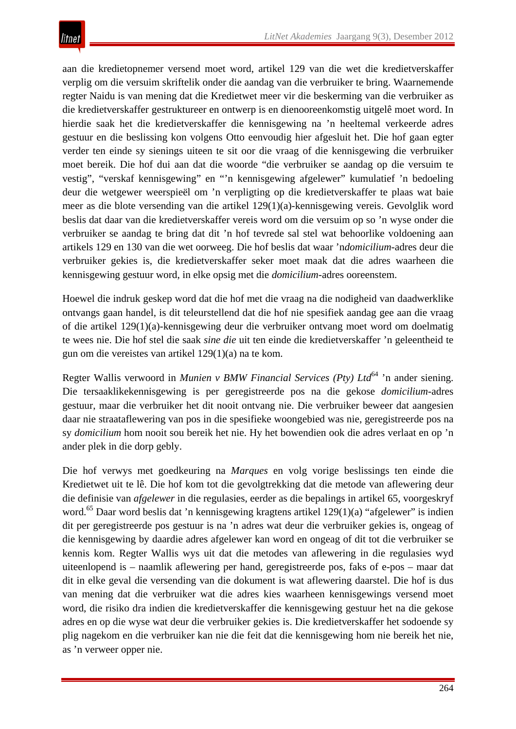aan die kredietopnemer versend moet word, artikel 129 van die wet die kredietverskaffer verplig om die versuim skriftelik onder die aandag van die verbruiker te bring. Waarnemende regter Naidu is van mening dat die Kredietwet meer vir die beskerming van die verbruiker as die kredietverskaffer gestruktureer en ontwerp is en dienooreenkomstig uitgelê moet word. In hierdie saak het die kredietverskaffer die kennisgewing na 'n heeltemal verkeerde adres gestuur en die beslissing kon volgens Otto eenvoudig hier afgesluit het. Die hof gaan egter verder ten einde sy sienings uiteen te sit oor die vraag of die kennisgewing die verbruiker moet bereik. Die hof dui aan dat die woorde "die verbruiker se aandag op die versuim te vestig", "verskaf kennisgewing" en "'n kennisgewing afgelewer" kumulatief 'n bedoeling deur die wetgewer weerspieël om 'n verpligting op die kredietverskaffer te plaas wat baie meer as die blote versending van die artikel 129(1)(a)-kennisgewing vereis. Gevolglik word beslis dat daar van die kredietverskaffer vereis word om die versuim op so 'n wyse onder die verbruiker se aandag te bring dat dit 'n hof tevrede sal stel wat behoorlike voldoening aan artikels 129 en 130 van die wet oorweeg. Die hof beslis dat waar 'n*domicilium-*adres deur die verbruiker gekies is, die kredietverskaffer seker moet maak dat die adres waarheen die kennisgewing gestuur word, in elke opsig met die *domicilium-*adres ooreenstem.

Hoewel die indruk geskep word dat die hof met die vraag na die nodigheid van daadwerklike ontvangs gaan handel, is dit teleurstellend dat die hof nie spesifiek aandag gee aan die vraag of die artikel 129(1)(a)-kennisgewing deur die verbruiker ontvang moet word om doelmatig te wees nie. Die hof stel die saak *sine die* uit ten einde die kredietverskaffer 'n geleentheid te gun om die vereistes van artikel 129(1)(a) na te kom.

Regter Wallis verwoord in *Munien v BMW Financial Services (Pty) Ltd*<sup>64</sup> 'n ander siening. Die tersaaklikekennisgewing is per geregistreerde pos na die gekose *domicilium-*adres gestuur, maar die verbruiker het dit nooit ontvang nie. Die verbruiker beweer dat aangesien daar nie straataflewering van pos in die spesifieke woongebied was nie, geregistreerde pos na sy *domicilium* hom nooit sou bereik het nie. Hy het bowendien ook die adres verlaat en op 'n ander plek in die dorp gebly.

Die hof verwys met goedkeuring na *Marques* en volg vorige beslissings ten einde die Kredietwet uit te lê. Die hof kom tot die gevolgtrekking dat die metode van aflewering deur die definisie van *afgelewer* in die regulasies, eerder as die bepalings in artikel 65, voorgeskryf word.<sup>65</sup> Daar word beslis dat 'n kennisgewing kragtens artikel 129(1)(a) "afgelewer" is indien dit per geregistreerde pos gestuur is na 'n adres wat deur die verbruiker gekies is, ongeag of die kennisgewing by daardie adres afgelewer kan word en ongeag of dit tot die verbruiker se kennis kom. Regter Wallis wys uit dat die metodes van aflewering in die regulasies wyd uiteenlopend is – naamlik aflewering per hand, geregistreerde pos, faks of e-pos – maar dat dit in elke geval die versending van die dokument is wat aflewering daarstel. Die hof is dus van mening dat die verbruiker wat die adres kies waarheen kennisgewings versend moet word, die risiko dra indien die kredietverskaffer die kennisgewing gestuur het na die gekose adres en op die wyse wat deur die verbruiker gekies is. Die kredietverskaffer het sodoende sy plig nagekom en die verbruiker kan nie die feit dat die kennisgewing hom nie bereik het nie, as 'n verweer opper nie.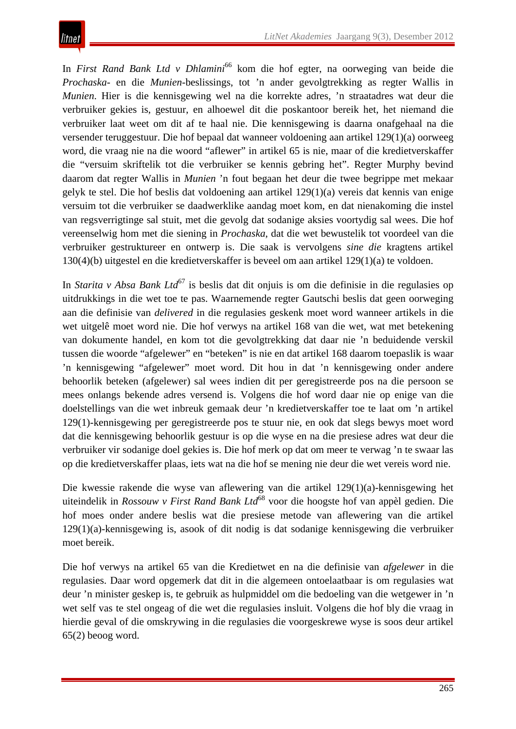In *First Rand Bank Ltd v Dhlamini*<sup>66</sup> kom die hof egter, na oorweging van beide die *Prochaska*- en die *Munien*-beslissings, tot 'n ander gevolgtrekking as regter Wallis in *Munien*. Hier is die kennisgewing wel na die korrekte adres, 'n straatadres wat deur die verbruiker gekies is, gestuur, en alhoewel dit die poskantoor bereik het, het niemand die verbruiker laat weet om dit af te haal nie. Die kennisgewing is daarna onafgehaal na die versender teruggestuur. Die hof bepaal dat wanneer voldoening aan artikel 129(1)(a) oorweeg word, die vraag nie na die woord "aflewer" in artikel 65 is nie, maar of die kredietverskaffer die "versuim skriftelik tot die verbruiker se kennis gebring het". Regter Murphy bevind daarom dat regter Wallis in *Munien* 'n fout begaan het deur die twee begrippe met mekaar gelyk te stel. Die hof beslis dat voldoening aan artikel 129(1)(a) vereis dat kennis van enige versuim tot die verbruiker se daadwerklike aandag moet kom, en dat nienakoming die instel van regsverrigtinge sal stuit, met die gevolg dat sodanige aksies voortydig sal wees. Die hof vereenselwig hom met die siening in *Prochaska*, dat die wet bewustelik tot voordeel van die verbruiker gestruktureer en ontwerp is. Die saak is vervolgens *sine die* kragtens artikel 130(4)(b) uitgestel en die kredietverskaffer is beveel om aan artikel 129(1)(a) te voldoen.

In *Starita v Absa Bank Ltd*<sup>67</sup> is beslis dat dit onjuis is om die definisie in die regulasies op uitdrukkings in die wet toe te pas. Waarnemende regter Gautschi beslis dat geen oorweging aan die definisie van *delivered* in die regulasies geskenk moet word wanneer artikels in die wet uitgelê moet word nie. Die hof verwys na artikel 168 van die wet, wat met betekening van dokumente handel, en kom tot die gevolgtrekking dat daar nie 'n beduidende verskil tussen die woorde "afgelewer" en "beteken" is nie en dat artikel 168 daarom toepaslik is waar 'n kennisgewing "afgelewer" moet word. Dit hou in dat 'n kennisgewing onder andere behoorlik beteken (afgelewer) sal wees indien dit per geregistreerde pos na die persoon se mees onlangs bekende adres versend is. Volgens die hof word daar nie op enige van die doelstellings van die wet inbreuk gemaak deur 'n kredietverskaffer toe te laat om 'n artikel 129(1)-kennisgewing per geregistreerde pos te stuur nie, en ook dat slegs bewys moet word dat die kennisgewing behoorlik gestuur is op die wyse en na die presiese adres wat deur die verbruiker vir sodanige doel gekies is. Die hof merk op dat om meer te verwag 'n te swaar las op die kredietverskaffer plaas, iets wat na die hof se mening nie deur die wet vereis word nie.

Die kwessie rakende die wyse van aflewering van die artikel 129(1)(a)-kennisgewing het uiteindelik in *Rossouw v First Rand Bank Ltd*<sup>68</sup> voor die hoogste hof van appèl gedien. Die hof moes onder andere beslis wat die presiese metode van aflewering van die artikel 129(1)(a)-kennisgewing is, asook of dit nodig is dat sodanige kennisgewing die verbruiker moet bereik.

Die hof verwys na artikel 65 van die Kredietwet en na die definisie van *afgelewer* in die regulasies. Daar word opgemerk dat dit in die algemeen ontoelaatbaar is om regulasies wat deur 'n minister geskep is, te gebruik as hulpmiddel om die bedoeling van die wetgewer in 'n wet self vas te stel ongeag of die wet die regulasies insluit. Volgens die hof bly die vraag in hierdie geval of die omskrywing in die regulasies die voorgeskrewe wyse is soos deur artikel 65(2) beoog word.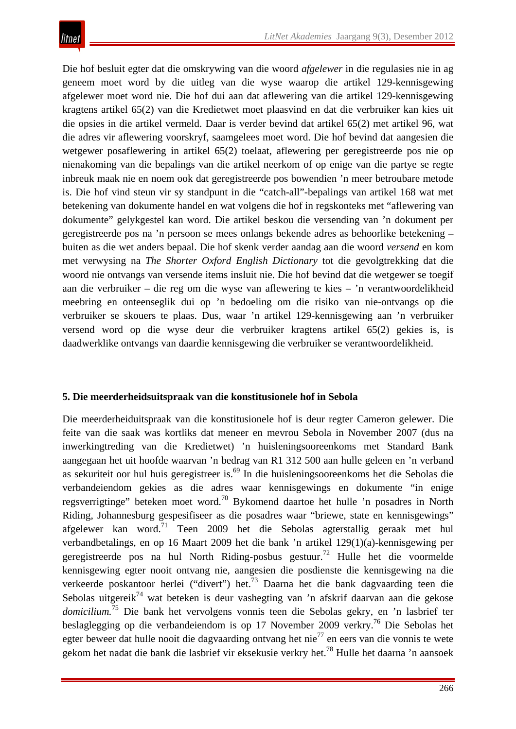Die hof besluit egter dat die omskrywing van die woord *afgelewer* in die regulasies nie in ag geneem moet word by die uitleg van die wyse waarop die artikel 129-kennisgewing afgelewer moet word nie. Die hof dui aan dat aflewering van die artikel 129-kennisgewing kragtens artikel 65(2) van die Kredietwet moet plaasvind en dat die verbruiker kan kies uit die opsies in die artikel vermeld. Daar is verder bevind dat artikel 65(2) met artikel 96, wat die adres vir aflewering voorskryf, saamgelees moet word. Die hof bevind dat aangesien die wetgewer posaflewering in artikel 65(2) toelaat, aflewering per geregistreerde pos nie op nienakoming van die bepalings van die artikel neerkom of op enige van die partye se regte inbreuk maak nie en noem ook dat geregistreerde pos bowendien 'n meer betroubare metode is. Die hof vind steun vir sy standpunt in die "catch-all"-bepalings van artikel 168 wat met betekening van dokumente handel en wat volgens die hof in regskonteks met "aflewering van dokumente" gelykgestel kan word. Die artikel beskou die versending van 'n dokument per geregistreerde pos na 'n persoon se mees onlangs bekende adres as behoorlike betekening – buiten as die wet anders bepaal. Die hof skenk verder aandag aan die woord *versend* en kom met verwysing na *The Shorter Oxford English Dictionary* tot die gevolgtrekking dat die woord nie ontvangs van versende items insluit nie. Die hof bevind dat die wetgewer se toegif aan die verbruiker – die reg om die wyse van aflewering te kies – 'n verantwoordelikheid meebring en onteenseglik dui op 'n bedoeling om die risiko van nie-ontvangs op die verbruiker se skouers te plaas. Dus, waar 'n artikel 129-kennisgewing aan 'n verbruiker versend word op die wyse deur die verbruiker kragtens artikel 65(2) gekies is, is daadwerklike ontvangs van daardie kennisgewing die verbruiker se verantwoordelikheid.

#### **5. Die meerderheidsuitspraak van die konstitusionele hof in Sebola**

Die meerderheiduitspraak van die konstitusionele hof is deur regter Cameron gelewer. Die feite van die saak was kortliks dat meneer en mevrou Sebola in November 2007 (dus na inwerkingtreding van die Kredietwet) 'n huisleningsooreenkoms met Standard Bank aangegaan het uit hoofde waarvan 'n bedrag van R1 312 500 aan hulle geleen en 'n verband as sekuriteit oor hul huis geregistreer is.69 In die huisleningsooreenkoms het die Sebolas die verbandeiendom gekies as die adres waar kennisgewings en dokumente "in enige regsverrigtinge" beteken moet word.70 Bykomend daartoe het hulle 'n posadres in North Riding, Johannesburg gespesifiseer as die posadres waar "briewe, state en kennisgewings" afgelewer kan word.<sup>71</sup> Teen 2009 het die Sebolas agterstallig geraak met hul verbandbetalings, en op 16 Maart 2009 het die bank 'n artikel 129(1)(a)-kennisgewing per geregistreerde pos na hul North Riding-posbus gestuur.<sup>72</sup> Hulle het die voormelde kennisgewing egter nooit ontvang nie, aangesien die posdienste die kennisgewing na die verkeerde poskantoor herlei ("divert") het.73 Daarna het die bank dagvaarding teen die Sebolas uitgereik<sup>74</sup> wat beteken is deur vashegting van 'n afskrif daarvan aan die gekose *domicilium.*<sup>75</sup> Die bank het vervolgens vonnis teen die Sebolas gekry, en 'n lasbrief ter beslaglegging op die verbandeiendom is op 17 November 2009 verkry.76 Die Sebolas het egter beweer dat hulle nooit die dagvaarding ontvang het nie<sup>77</sup> en eers van die vonnis te wete gekom het nadat die bank die lasbrief vir eksekusie verkry het.<sup>78</sup> Hulle het daarna 'n aansoek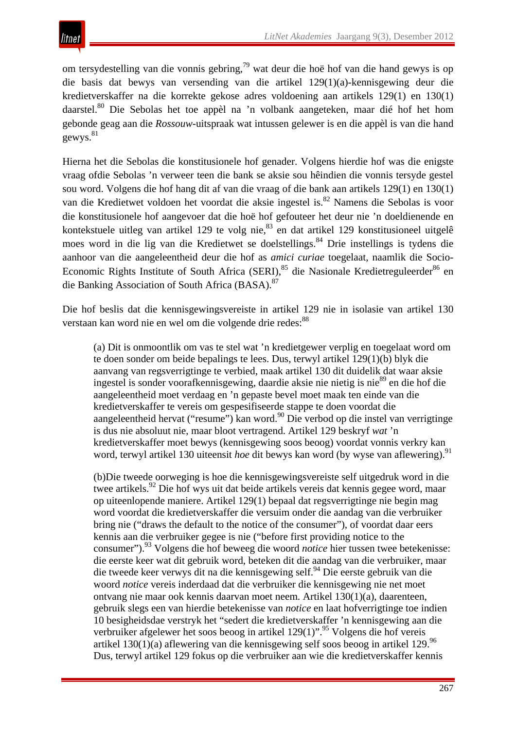om tersydestelling van die vonnis gebring,79 wat deur die hoë hof van die hand gewys is op die basis dat bewys van versending van die artikel 129(1)(a)-kennisgewing deur die kredietverskaffer na die korrekte gekose adres voldoening aan artikels 129(1) en 130(1) daarstel.80 Die Sebolas het toe appèl na 'n volbank aangeteken, maar dié hof het hom gebonde geag aan die *Rossouw*-uitspraak wat intussen gelewer is en die appèl is van die hand gewys.<sup>81</sup>

Hierna het die Sebolas die konstitusionele hof genader. Volgens hierdie hof was die enigste vraag ofdie Sebolas 'n verweer teen die bank se aksie sou hêindien die vonnis tersyde gestel sou word. Volgens die hof hang dit af van die vraag of die bank aan artikels 129(1) en 130(1) van die Kredietwet voldoen het voordat die aksie ingestel is.<sup>82</sup> Namens die Sebolas is voor die konstitusionele hof aangevoer dat die hoë hof gefouteer het deur nie 'n doeldienende en kontekstuele uitleg van artikel 129 te volg nie,  $83$  en dat artikel 129 konstitusioneel uitgelê moes word in die lig van die Kredietwet se doelstellings.<sup>84</sup> Drie instellings is tydens die aanhoor van die aangeleentheid deur die hof as *amici curiae* toegelaat, naamlik die Socio-Economic Rights Institute of South Africa (SERI),<sup>85</sup> die Nasionale Kredietreguleerder<sup>86</sup> en die Banking Association of South Africa (BASA).87

Die hof beslis dat die kennisgewingsvereiste in artikel 129 nie in isolasie van artikel 130 verstaan kan word nie en wel om die volgende drie redes:  $88$ 

(a) Dit is onmoontlik om vas te stel wat 'n kredietgewer verplig en toegelaat word om te doen sonder om beide bepalings te lees. Dus, terwyl artikel 129(1)(b) blyk die aanvang van regsverrigtinge te verbied, maak artikel 130 dit duidelik dat waar aksie ingestel is sonder voorafkennisgewing, daardie aksie nie nietig is nie<sup>89</sup> en die hof die aangeleentheid moet verdaag en 'n gepaste bevel moet maak ten einde van die kredietverskaffer te vereis om gespesifiseerde stappe te doen voordat die aangeleentheid hervat ("resume") kan word.<sup>90</sup> Die verbod op die instel van verrigtinge is dus nie absoluut nie, maar bloot vertragend. Artikel 129 beskryf *wat* 'n kredietverskaffer moet bewys (kennisgewing soos beoog) voordat vonnis verkry kan word, terwyl artikel 130 uiteensit *hoe* dit bewys kan word (by wyse van aflewering).<sup>91</sup>

(b)Die tweede oorweging is hoe die kennisgewingsvereiste self uitgedruk word in die twee artikels.<sup>92</sup> Die hof wys uit dat beide artikels vereis dat kennis gegee word, maar op uiteenlopende maniere. Artikel 129(1) bepaal dat regsverrigtinge nie begin mag word voordat die kredietverskaffer die versuim onder die aandag van die verbruiker bring nie ("draws the default to the notice of the consumer"), of voordat daar eers kennis aan die verbruiker gegee is nie ("before first providing notice to the consumer").93 Volgens die hof beweeg die woord *notice* hier tussen twee betekenisse: die eerste keer wat dit gebruik word, beteken dit die aandag van die verbruiker, maar die tweede keer verwys dit na die kennisgewing self.<sup>94</sup> Die eerste gebruik van die woord *notice* vereis inderdaad dat die verbruiker die kennisgewing nie net moet ontvang nie maar ook kennis daarvan moet neem. Artikel 130(1)(a), daarenteen, gebruik slegs een van hierdie betekenisse van *notice* en laat hofverrigtinge toe indien 10 besigheidsdae verstryk het "sedert die kredietverskaffer 'n kennisgewing aan die verbruiker afgelewer het soos beoog in artikel  $129(1)$ ".<sup>95</sup> Volgens die hof vereis artikel 130(1)(a) aflewering van die kennisgewing self soos beoog in artikel 129.96 Dus, terwyl artikel 129 fokus op die verbruiker aan wie die kredietverskaffer kennis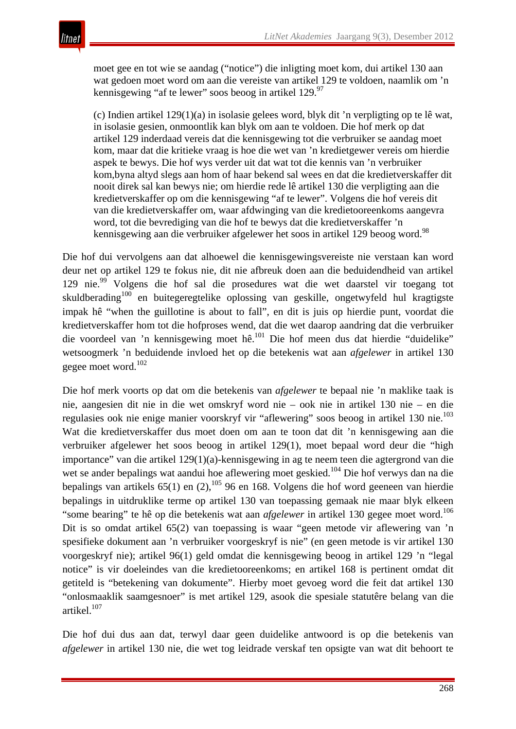moet gee en tot wie se aandag ("notice") die inligting moet kom, dui artikel 130 aan wat gedoen moet word om aan die vereiste van artikel 129 te voldoen, naamlik om 'n kennisgewing "af te lewer" soos beoog in artikel  $129.97$ 

(c) Indien artikel 129(1)(a) in isolasie gelees word, blyk dit 'n verpligting op te lê wat, in isolasie gesien, onmoontlik kan blyk om aan te voldoen. Die hof merk op dat artikel 129 inderdaad vereis dat die kennisgewing tot die verbruiker se aandag moet kom, maar dat die kritieke vraag is hoe die wet van 'n kredietgewer vereis om hierdie aspek te bewys. Die hof wys verder uit dat wat tot die kennis van 'n verbruiker kom,byna altyd slegs aan hom of haar bekend sal wees en dat die kredietverskaffer dit nooit direk sal kan bewys nie; om hierdie rede lê artikel 130 die verpligting aan die kredietverskaffer op om die kennisgewing "af te lewer". Volgens die hof vereis dit van die kredietverskaffer om, waar afdwinging van die kredietooreenkoms aangevra word, tot die bevrediging van die hof te bewys dat die kredietverskaffer 'n kennisgewing aan die verbruiker afgelewer het soos in artikel 129 beoog word.<sup>98</sup>

Die hof dui vervolgens aan dat alhoewel die kennisgewingsvereiste nie verstaan kan word deur net op artikel 129 te fokus nie, dit nie afbreuk doen aan die beduidendheid van artikel 129 nie.<sup>99</sup> Volgens die hof sal die prosedures wat die wet daarstel vir toegang tot skuldberading<sup>100</sup> en buitegeregtelike oplossing van geskille, ongetwyfeld hul kragtigste impak hê "when the guillotine is about to fall", en dit is juis op hierdie punt, voordat die kredietverskaffer hom tot die hofproses wend, dat die wet daarop aandring dat die verbruiker die voordeel van 'n kennisgewing moet hê.<sup>101</sup> Die hof meen dus dat hierdie "duidelike" wetsoogmerk 'n beduidende invloed het op die betekenis wat aan *afgelewer* in artikel 130 gegee moet word.<sup>102</sup>

Die hof merk voorts op dat om die betekenis van *afgelewer* te bepaal nie 'n maklike taak is nie, aangesien dit nie in die wet omskryf word nie – ook nie in artikel 130 nie – en die regulasies ook nie enige manier voorskryf vir "aflewering" soos beoog in artikel 130 nie.<sup>103</sup> Wat die kredietverskaffer dus moet doen om aan te toon dat dit 'n kennisgewing aan die verbruiker afgelewer het soos beoog in artikel 129(1), moet bepaal word deur die "high importance" van die artikel 129(1)(a)-kennisgewing in ag te neem teen die agtergrond van die wet se ander bepalings wat aandui hoe aflewering moet geskied.<sup>104</sup> Die hof verwys dan na die bepalings van artikels  $65(1)$  en  $(2)$ ,  $^{105}$  96 en 168. Volgens die hof word geeneen van hierdie bepalings in uitdruklike terme op artikel 130 van toepassing gemaak nie maar blyk elkeen "some bearing" te hê op die betekenis wat aan *afgelewer* in artikel 130 gegee moet word.<sup>106</sup> Dit is so omdat artikel 65(2) van toepassing is waar "geen metode vir aflewering van 'n spesifieke dokument aan 'n verbruiker voorgeskryf is nie" (en geen metode is vir artikel 130 voorgeskryf nie); artikel 96(1) geld omdat die kennisgewing beoog in artikel 129 'n "legal notice" is vir doeleindes van die kredietooreenkoms; en artikel 168 is pertinent omdat dit getiteld is "betekening van dokumente". Hierby moet gevoeg word die feit dat artikel 130 "onlosmaaklik saamgesnoer" is met artikel 129, asook die spesiale statutêre belang van die artikel. $107$ 

Die hof dui dus aan dat, terwyl daar geen duidelike antwoord is op die betekenis van *afgelewer* in artikel 130 nie, die wet tog leidrade verskaf ten opsigte van wat dit behoort te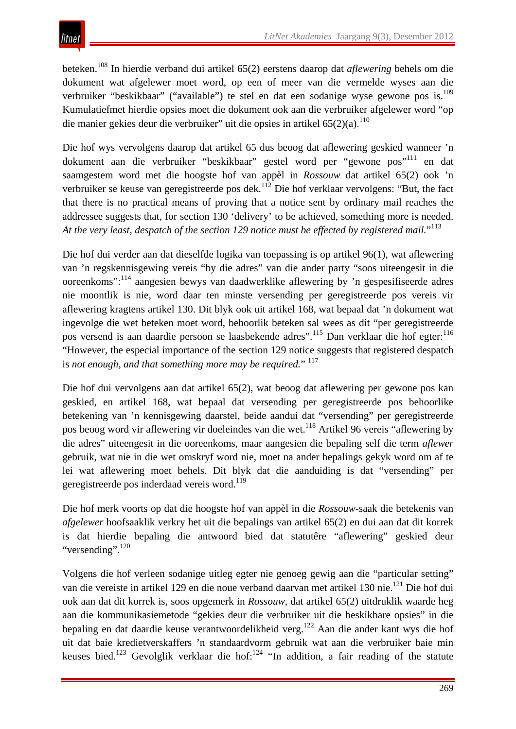beteken.108 In hierdie verband dui artikel 65(2) eerstens daarop dat *aflewering* behels om die dokument wat afgelewer moet word, op een of meer van die vermelde wyses aan die verbruiker "beskikbaar" ("available") te stel en dat een sodanige wyse gewone pos is.<sup>109</sup> Kumulatiefmet hierdie opsies moet die dokument ook aan die verbruiker afgelewer word "op die manier gekies deur die verbruiker" uit die opsies in artikel  $65(2)(a)$ .<sup>110</sup>

Die hof wys vervolgens daarop dat artikel 65 dus beoog dat aflewering geskied wanneer 'n dokument aan die verbruiker "beskikbaar" gestel word per "gewone pos"<sup>111</sup> en dat saamgestem word met die hoogste hof van appèl in *Rossouw* dat artikel 65(2) ook 'n verbruiker se keuse van geregistreerde pos dek.<sup>112</sup> Die hof verklaar vervolgens: "But, the fact that there is no practical means of proving that a notice sent by ordinary mail reaches the addressee suggests that, for section 130 'delivery' to be achieved, something more is needed. *At the very least, despatch of the section 129 notice must be effected by registered mail.*" 113

Die hof dui verder aan dat dieselfde logika van toepassing is op artikel 96(1), wat aflewering van 'n regskennisgewing vereis "by die adres" van die ander party "soos uiteengesit in die ooreenkoms":<sup>114</sup> aangesien bewys van daadwerklike aflewering by 'n gespesifiseerde adres nie moontlik is nie, word daar ten minste versending per geregistreerde pos vereis vir aflewering kragtens artikel 130. Dit blyk ook uit artikel 168, wat bepaal dat 'n dokument wat ingevolge die wet beteken moet word, behoorlik beteken sal wees as dit "per geregistreerde pos versend is aan daardie persoon se laasbekende adres".115 Dan verklaar die hof egter:<sup>116</sup> "However, the especial importance of the section 129 notice suggests that registered despatch is not enough, and that something more may be required."<sup>117</sup>

Die hof dui vervolgens aan dat artikel 65(2), wat beoog dat aflewering per gewone pos kan geskied, en artikel 168, wat bepaal dat versending per geregistreerde pos behoorlike betekening van 'n kennisgewing daarstel, beide aandui dat "versending" per geregistreerde pos beoog word vir aflewering vir doeleindes van die wet.<sup>118</sup> Artikel 96 vereis "aflewering by die adres" uiteengesit in die ooreenkoms, maar aangesien die bepaling self die term *aflewer* gebruik, wat nie in die wet omskryf word nie, moet na ander bepalings gekyk word om af te lei wat aflewering moet behels. Dit blyk dat die aanduiding is dat "versending" per geregistreerde pos inderdaad vereis word.<sup>119</sup>

Die hof merk voorts op dat die hoogste hof van appèl in die *Rossouw-*saak die betekenis van *afgelewer* hoofsaaklik verkry het uit die bepalings van artikel 65(2) en dui aan dat dit korrek is dat hierdie bepaling die antwoord bied dat statutêre "aflewering" geskied deur "versending".<sup>120</sup>

Volgens die hof verleen sodanige uitleg egter nie genoeg gewig aan die "particular setting" van die vereiste in artikel 129 en die noue verband daarvan met artikel 130 nie.<sup>121</sup> Die hof dui ook aan dat dit korrek is, soos opgemerk in *Rossouw*, dat artikel 65(2) uitdruklik waarde heg aan die kommunikasiemetode "gekies deur die verbruiker uit die beskikbare opsies" in die bepaling en dat daardie keuse verantwoordelikheid verg.122 Aan die ander kant wys die hof uit dat baie kredietverskaffers 'n standaardvorm gebruik wat aan die verbruiker baie min keuses bied.<sup>123</sup> Gevolglik verklaar die hof:<sup>124</sup> "In addition, a fair reading of the statute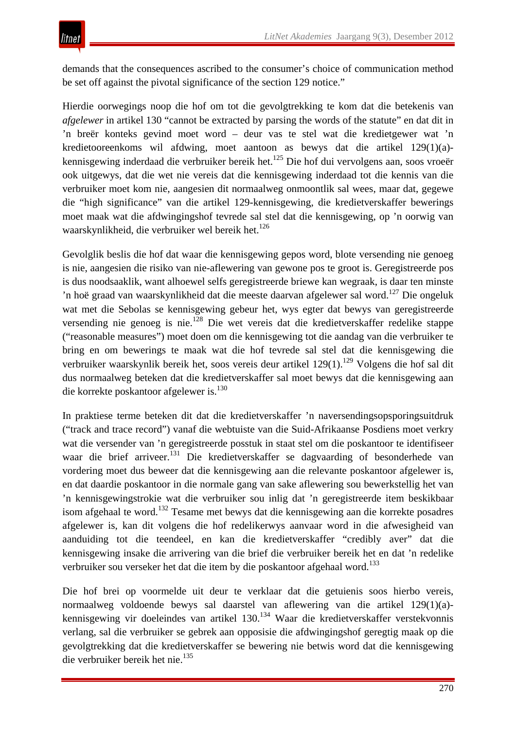demands that the consequences ascribed to the consumer's choice of communication method be set off against the pivotal significance of the section 129 notice."

Hierdie oorwegings noop die hof om tot die gevolgtrekking te kom dat die betekenis van *afgelewer* in artikel 130 "cannot be extracted by parsing the words of the statute" en dat dit in 'n breër konteks gevind moet word – deur vas te stel wat die kredietgewer wat 'n kredietooreenkoms wil afdwing, moet aantoon as bewys dat die artikel 129(1)(a) kennisgewing inderdaad die verbruiker bereik het.125 Die hof dui vervolgens aan, soos vroeër ook uitgewys, dat die wet nie vereis dat die kennisgewing inderdaad tot die kennis van die verbruiker moet kom nie, aangesien dit normaalweg onmoontlik sal wees, maar dat, gegewe die "high significance" van die artikel 129-kennisgewing, die kredietverskaffer bewerings moet maak wat die afdwingingshof tevrede sal stel dat die kennisgewing, op 'n oorwig van waarskynlikheid, die verbruiker wel bereik het.<sup>126</sup>

Gevolglik beslis die hof dat waar die kennisgewing gepos word, blote versending nie genoeg is nie, aangesien die risiko van nie-aflewering van gewone pos te groot is. Geregistreerde pos is dus noodsaaklik, want alhoewel selfs geregistreerde briewe kan wegraak, is daar ten minste 'n hoë graad van waarskynlikheid dat die meeste daarvan afgelewer sal word.<sup>127</sup> Die ongeluk wat met die Sebolas se kennisgewing gebeur het, wys egter dat bewys van geregistreerde versending nie genoeg is nie.128 Die wet vereis dat die kredietverskaffer redelike stappe ("reasonable measures") moet doen om die kennisgewing tot die aandag van die verbruiker te bring en om bewerings te maak wat die hof tevrede sal stel dat die kennisgewing die verbruiker waarskynlik bereik het, soos vereis deur artikel 129(1).<sup>129</sup> Volgens die hof sal dit dus normaalweg beteken dat die kredietverskaffer sal moet bewys dat die kennisgewing aan die korrekte poskantoor afgelewer is.<sup>130</sup>

In praktiese terme beteken dit dat die kredietverskaffer 'n naversendingsopsporingsuitdruk ("track and trace record") vanaf die webtuiste van die Suid-Afrikaanse Posdiens moet verkry wat die versender van 'n geregistreerde posstuk in staat stel om die poskantoor te identifiseer waar die brief arriveer.<sup>131</sup> Die kredietverskaffer se dagvaarding of besonderhede van vordering moet dus beweer dat die kennisgewing aan die relevante poskantoor afgelewer is, en dat daardie poskantoor in die normale gang van sake aflewering sou bewerkstellig het van 'n kennisgewingstrokie wat die verbruiker sou inlig dat 'n geregistreerde item beskikbaar isom afgehaal te word.<sup>132</sup> Tesame met bewys dat die kennisgewing aan die korrekte posadres afgelewer is, kan dit volgens die hof redelikerwys aanvaar word in die afwesigheid van aanduiding tot die teendeel, en kan die kredietverskaffer "credibly aver" dat die kennisgewing insake die arrivering van die brief die verbruiker bereik het en dat 'n redelike verbruiker sou verseker het dat die item by die poskantoor afgehaal word.<sup>133</sup>

Die hof brei op voormelde uit deur te verklaar dat die getuienis soos hierbo vereis, normaalweg voldoende bewys sal daarstel van aflewering van die artikel 129(1)(a) kennisgewing vir doeleindes van artikel 130.<sup>134</sup> Waar die kredietverskaffer verstekvonnis verlang, sal die verbruiker se gebrek aan opposisie die afdwingingshof geregtig maak op die gevolgtrekking dat die kredietverskaffer se bewering nie betwis word dat die kennisgewing die verbruiker bereik het nie.<sup>135</sup>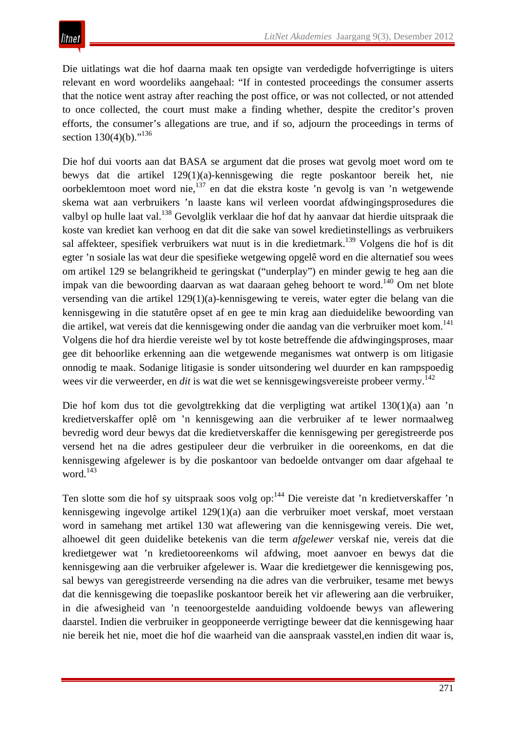Die uitlatings wat die hof daarna maak ten opsigte van verdedigde hofverrigtinge is uiters relevant en word woordeliks aangehaal: "If in contested proceedings the consumer asserts that the notice went astray after reaching the post office, or was not collected, or not attended to once collected, the court must make a finding whether, despite the creditor's proven efforts, the consumer's allegations are true, and if so, adjourn the proceedings in terms of section  $130(4)(b)$ ."<sup>136</sup>

Die hof dui voorts aan dat BASA se argument dat die proses wat gevolg moet word om te bewys dat die artikel 129(1)(a)-kennisgewing die regte poskantoor bereik het, nie oorbeklemtoon moet word nie,137 en dat die ekstra koste 'n gevolg is van 'n wetgewende skema wat aan verbruikers 'n laaste kans wil verleen voordat afdwingingsprosedures die valbyl op hulle laat val.138 Gevolglik verklaar die hof dat hy aanvaar dat hierdie uitspraak die koste van krediet kan verhoog en dat dit die sake van sowel kredietinstellings as verbruikers sal affekteer, spesifiek verbruikers wat nuut is in die kredietmark.<sup>139</sup> Volgens die hof is dit egter 'n sosiale las wat deur die spesifieke wetgewing opgelê word en die alternatief sou wees om artikel 129 se belangrikheid te geringskat ("underplay") en minder gewig te heg aan die impak van die bewoording daarvan as wat daaraan geheg behoort te word.140 Om net blote versending van die artikel 129(1)(a)-kennisgewing te vereis, water egter die belang van die kennisgewing in die statutêre opset af en gee te min krag aan dieduidelike bewoording van die artikel, wat vereis dat die kennisgewing onder die aandag van die verbruiker moet kom.<sup>141</sup> Volgens die hof dra hierdie vereiste wel by tot koste betreffende die afdwingingsproses, maar gee dit behoorlike erkenning aan die wetgewende meganismes wat ontwerp is om litigasie onnodig te maak. Sodanige litigasie is sonder uitsondering wel duurder en kan rampspoedig wees vir die verweerder, en *dit* is wat die wet se kennisgewingsvereiste probeer vermy.<sup>142</sup>

Die hof kom dus tot die gevolgtrekking dat die verpligting wat artikel 130(1)(a) aan 'n kredietverskaffer oplê om 'n kennisgewing aan die verbruiker af te lewer normaalweg bevredig word deur bewys dat die kredietverskaffer die kennisgewing per geregistreerde pos versend het na die adres gestipuleer deur die verbruiker in die ooreenkoms, en dat die kennisgewing afgelewer is by die poskantoor van bedoelde ontvanger om daar afgehaal te word.<sup>143</sup>

Ten slotte som die hof sy uitspraak soos volg op:<sup>144</sup> Die vereiste dat 'n kredietverskaffer 'n kennisgewing ingevolge artikel 129(1)(a) aan die verbruiker moet verskaf, moet verstaan word in samehang met artikel 130 wat aflewering van die kennisgewing vereis. Die wet, alhoewel dit geen duidelike betekenis van die term *afgelewer* verskaf nie, vereis dat die kredietgewer wat 'n kredietooreenkoms wil afdwing, moet aanvoer en bewys dat die kennisgewing aan die verbruiker afgelewer is. Waar die kredietgewer die kennisgewing pos, sal bewys van geregistreerde versending na die adres van die verbruiker, tesame met bewys dat die kennisgewing die toepaslike poskantoor bereik het vir aflewering aan die verbruiker, in die afwesigheid van 'n teenoorgestelde aanduiding voldoende bewys van aflewering daarstel. Indien die verbruiker in geopponeerde verrigtinge beweer dat die kennisgewing haar nie bereik het nie, moet die hof die waarheid van die aanspraak vasstel,en indien dit waar is,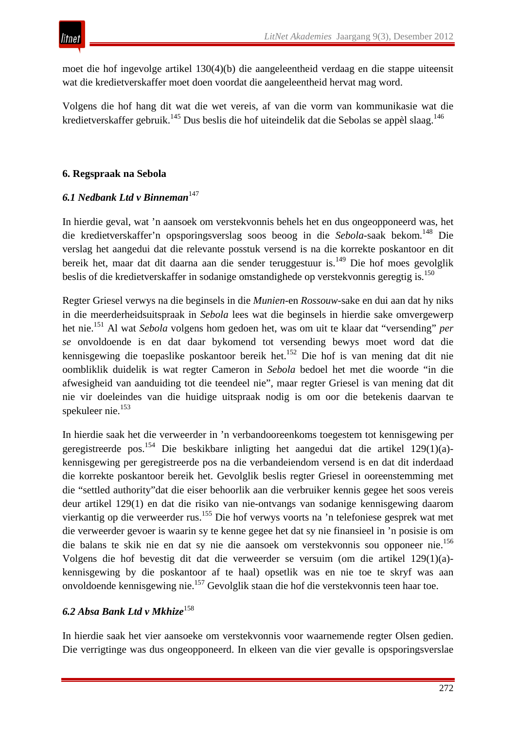moet die hof ingevolge artikel 130(4)(b) die aangeleentheid verdaag en die stappe uiteensit wat die kredietverskaffer moet doen voordat die aangeleentheid hervat mag word.

Volgens die hof hang dit wat die wet vereis, af van die vorm van kommunikasie wat die kredietverskaffer gebruik.<sup>145</sup> Dus beslis die hof uiteindelik dat die Sebolas se appèl slaag.<sup>146</sup>

# **6. Regspraak na Sebola**

# *6.1 Nedbank Ltd v Binneman*<sup>147</sup>

In hierdie geval, wat 'n aansoek om verstekvonnis behels het en dus ongeopponeerd was, het die kredietverskaffer'n opsporingsverslag soos beoog in die *Sebola*-saak bekom.148 Die verslag het aangedui dat die relevante posstuk versend is na die korrekte poskantoor en dit bereik het, maar dat dit daarna aan die sender teruggestuur is.<sup>149</sup> Die hof moes gevolglik beslis of die kredietverskaffer in sodanige omstandighede op verstekvonnis geregtig is.<sup>150</sup>

Regter Griesel verwys na die beginsels in die *Munien*-en *Rossouw*-sake en dui aan dat hy niks in die meerderheidsuitspraak in *Sebola* lees wat die beginsels in hierdie sake omvergewerp het nie.<sup>151</sup> Al wat *Sebola* volgens hom gedoen het, was om uit te klaar dat "versending" *per se* onvoldoende is en dat daar bykomend tot versending bewys moet word dat die kennisgewing die toepaslike poskantoor bereik het.152 Die hof is van mening dat dit nie oombliklik duidelik is wat regter Cameron in *Sebola* bedoel het met die woorde "in die afwesigheid van aanduiding tot die teendeel nie", maar regter Griesel is van mening dat dit nie vir doeleindes van die huidige uitspraak nodig is om oor die betekenis daarvan te spekuleer nie.<sup>153</sup>

In hierdie saak het die verweerder in 'n verbandooreenkoms toegestem tot kennisgewing per geregistreerde pos.<sup>154</sup> Die beskikbare inligting het aangedui dat die artikel 129(1)(a)kennisgewing per geregistreerde pos na die verbandeiendom versend is en dat dit inderdaad die korrekte poskantoor bereik het. Gevolglik beslis regter Griesel in ooreenstemming met die "settled authority"dat die eiser behoorlik aan die verbruiker kennis gegee het soos vereis deur artikel 129(1) en dat die risiko van nie-ontvangs van sodanige kennisgewing daarom vierkantig op die verweerder rus.155 Die hof verwys voorts na 'n telefoniese gesprek wat met die verweerder gevoer is waarin sy te kenne gegee het dat sy nie finansieel in 'n posisie is om die balans te skik nie en dat sy nie die aansoek om verstekvonnis sou opponeer nie.156 Volgens die hof bevestig dit dat die verweerder se versuim (om die artikel 129(1)(a) kennisgewing by die poskantoor af te haal) opsetlik was en nie toe te skryf was aan onvoldoende kennisgewing nie.157 Gevolglik staan die hof die verstekvonnis teen haar toe.

## *6.2 Absa Bank Ltd v Mkhize*<sup>158</sup>

In hierdie saak het vier aansoeke om verstekvonnis voor waarnemende regter Olsen gedien. Die verrigtinge was dus ongeopponeerd. In elkeen van die vier gevalle is opsporingsverslae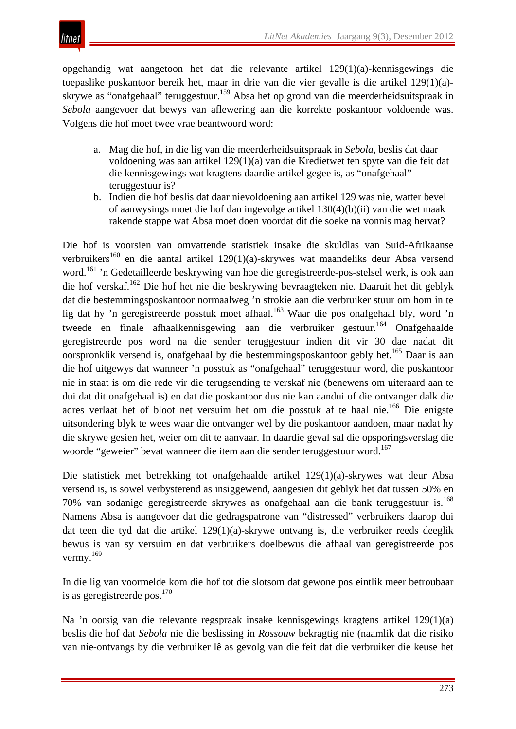litnet

opgehandig wat aangetoon het dat die relevante artikel 129(1)(a)-kennisgewings die toepaslike poskantoor bereik het, maar in drie van die vier gevalle is die artikel 129(1)(a) skrywe as "onafgehaal" teruggestuur.<sup>159</sup> Absa het op grond van die meerderheidsuitspraak in *Sebola* aangevoer dat bewys van aflewering aan die korrekte poskantoor voldoende was. Volgens die hof moet twee vrae beantwoord word:

- a. Mag die hof, in die lig van die meerderheidsuitspraak in *Sebola*, beslis dat daar voldoening was aan artikel 129(1)(a) van die Kredietwet ten spyte van die feit dat die kennisgewings wat kragtens daardie artikel gegee is, as "onafgehaal" teruggestuur is?
- b. Indien die hof beslis dat daar nievoldoening aan artikel 129 was nie, watter bevel of aanwysings moet die hof dan ingevolge artikel 130(4)(b)(ii) van die wet maak rakende stappe wat Absa moet doen voordat dit die soeke na vonnis mag hervat?

Die hof is voorsien van omvattende statistiek insake die skuldlas van Suid-Afrikaanse verbruikers<sup>160</sup> en die aantal artikel 129(1)(a)-skrywes wat maandeliks deur Absa versend word.161 'n Gedetailleerde beskrywing van hoe die geregistreerde-pos-stelsel werk, is ook aan die hof verskaf.<sup>162</sup> Die hof het nie die beskrywing bevraagteken nie. Daaruit het dit geblyk dat die bestemmingsposkantoor normaalweg 'n strokie aan die verbruiker stuur om hom in te lig dat hy 'n geregistreerde posstuk moet afhaal.<sup>163</sup> Waar die pos onafgehaal bly, word 'n tweede en finale afhaalkennisgewing aan die verbruiker gestuur.<sup>164</sup> Onafgehaalde geregistreerde pos word na die sender teruggestuur indien dit vir 30 dae nadat dit oorspronklik versend is, onafgehaal by die bestemmingsposkantoor gebly het.<sup>165</sup> Daar is aan die hof uitgewys dat wanneer 'n posstuk as "onafgehaal" teruggestuur word, die poskantoor nie in staat is om die rede vir die terugsending te verskaf nie (benewens om uiteraard aan te dui dat dit onafgehaal is) en dat die poskantoor dus nie kan aandui of die ontvanger dalk die adres verlaat het of bloot net versuim het om die posstuk af te haal nie.<sup>166</sup> Die enigste uitsondering blyk te wees waar die ontvanger wel by die poskantoor aandoen, maar nadat hy die skrywe gesien het, weier om dit te aanvaar. In daardie geval sal die opsporingsverslag die woorde "geweier" bevat wanneer die item aan die sender teruggestuur word.<sup>167</sup>

Die statistiek met betrekking tot onafgehaalde artikel 129(1)(a)-skrywes wat deur Absa versend is, is sowel verbysterend as insiggewend, aangesien dit geblyk het dat tussen 50% en 70% van sodanige geregistreerde skrywes as onafgehaal aan die bank teruggestuur is.168 Namens Absa is aangevoer dat die gedragspatrone van "distressed" verbruikers daarop dui dat teen die tyd dat die artikel 129(1)(a)-skrywe ontvang is, die verbruiker reeds deeglik bewus is van sy versuim en dat verbruikers doelbewus die afhaal van geregistreerde pos vermy.169

In die lig van voormelde kom die hof tot die slotsom dat gewone pos eintlik meer betroubaar is as geregistreerde pos.<sup>170</sup>

Na 'n oorsig van die relevante regspraak insake kennisgewings kragtens artikel 129(1)(a) beslis die hof dat *Sebola* nie die beslissing in *Rossouw* bekragtig nie (naamlik dat die risiko van nie-ontvangs by die verbruiker lê as gevolg van die feit dat die verbruiker die keuse het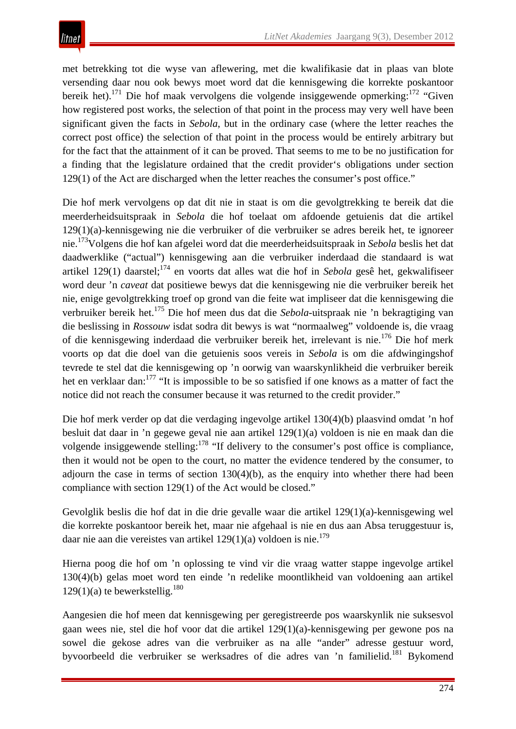met betrekking tot die wyse van aflewering, met die kwalifikasie dat in plaas van blote versending daar nou ook bewys moet word dat die kennisgewing die korrekte poskantoor bereik het).171 Die hof maak vervolgens die volgende insiggewende opmerking:<sup>172</sup> "Given how registered post works, the selection of that point in the process may very well have been significant given the facts in *Sebola*, but in the ordinary case (where the letter reaches the correct post office) the selection of that point in the process would be entirely arbitrary but for the fact that the attainment of it can be proved. That seems to me to be no justification for a finding that the legislature ordained that the credit provider's obligations under section 129(1) of the Act are discharged when the letter reaches the consumer's post office."

Die hof merk vervolgens op dat dit nie in staat is om die gevolgtrekking te bereik dat die meerderheidsuitspraak in *Sebola* die hof toelaat om afdoende getuienis dat die artikel 129(1)(a)-kennisgewing nie die verbruiker of die verbruiker se adres bereik het, te ignoreer nie.173Volgens die hof kan afgelei word dat die meerderheidsuitspraak in *Sebola* beslis het dat daadwerklike ("actual") kennisgewing aan die verbruiker inderdaad die standaard is wat artikel 129(1) daarstel;174 en voorts dat alles wat die hof in *Sebola* gesê het, gekwalifiseer word deur 'n *caveat* dat positiewe bewys dat die kennisgewing nie die verbruiker bereik het nie, enige gevolgtrekking troef op grond van die feite wat impliseer dat die kennisgewing die verbruiker bereik het.175 Die hof meen dus dat die *Sebola*-uitspraak nie 'n bekragtiging van die beslissing in *Rossouw* isdat sodra dit bewys is wat "normaalweg" voldoende is, die vraag of die kennisgewing inderdaad die verbruiker bereik het, irrelevant is nie.<sup>176</sup> Die hof merk voorts op dat die doel van die getuienis soos vereis in *Sebola* is om die afdwingingshof tevrede te stel dat die kennisgewing op 'n oorwig van waarskynlikheid die verbruiker bereik het en verklaar dan:<sup>177</sup> "It is impossible to be so satisfied if one knows as a matter of fact the notice did not reach the consumer because it was returned to the credit provider."

Die hof merk verder op dat die verdaging ingevolge artikel 130(4)(b) plaasvind omdat 'n hof besluit dat daar in 'n gegewe geval nie aan artikel 129(1)(a) voldoen is nie en maak dan die volgende insiggewende stelling:<sup>178</sup> "If delivery to the consumer's post office is compliance, then it would not be open to the court, no matter the evidence tendered by the consumer, to adjourn the case in terms of section  $130(4)(b)$ , as the enquiry into whether there had been compliance with section 129(1) of the Act would be closed."

Gevolglik beslis die hof dat in die drie gevalle waar die artikel 129(1)(a)-kennisgewing wel die korrekte poskantoor bereik het, maar nie afgehaal is nie en dus aan Absa teruggestuur is, daar nie aan die vereistes van artikel  $129(1)(a)$  voldoen is nie.<sup>179</sup>

Hierna poog die hof om 'n oplossing te vind vir die vraag watter stappe ingevolge artikel 130(4)(b) gelas moet word ten einde 'n redelike moontlikheid van voldoening aan artikel  $129(1)(a)$  te bewerkstellig.<sup>180</sup>

Aangesien die hof meen dat kennisgewing per geregistreerde pos waarskynlik nie suksesvol gaan wees nie, stel die hof voor dat die artikel 129(1)(a)-kennisgewing per gewone pos na sowel die gekose adres van die verbruiker as na alle "ander" adresse gestuur word, byvoorbeeld die verbruiker se werksadres of die adres van 'n familielid.<sup>181</sup> Bykomend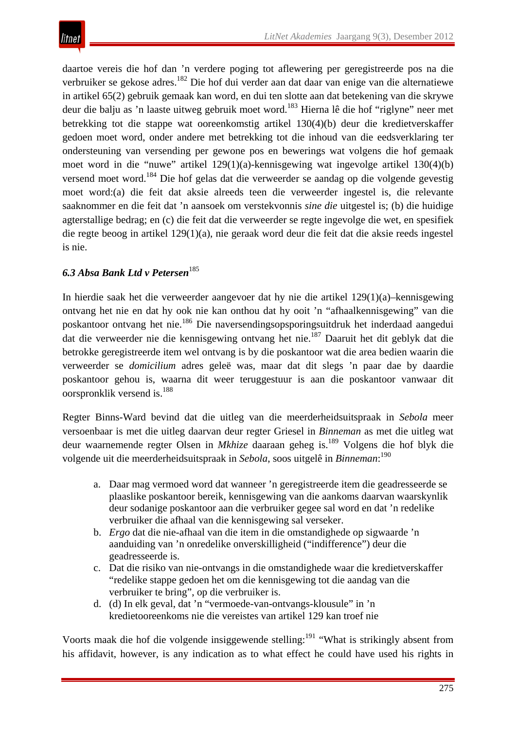daartoe vereis die hof dan 'n verdere poging tot aflewering per geregistreerde pos na die verbruiker se gekose adres.182 Die hof dui verder aan dat daar van enige van die alternatiewe in artikel 65(2) gebruik gemaak kan word, en dui ten slotte aan dat betekening van die skrywe deur die balju as 'n laaste uitweg gebruik moet word.<sup>183</sup> Hierna lê die hof "riglyne" neer met betrekking tot die stappe wat ooreenkomstig artikel 130(4)(b) deur die kredietverskaffer gedoen moet word, onder andere met betrekking tot die inhoud van die eedsverklaring ter ondersteuning van versending per gewone pos en bewerings wat volgens die hof gemaak moet word in die "nuwe" artikel 129(1)(a)-kennisgewing wat ingevolge artikel 130(4)(b) versend moet word.<sup>184</sup> Die hof gelas dat die verweerder se aandag op die volgende gevestig moet word:(a) die feit dat aksie alreeds teen die verweerder ingestel is, die relevante saaknommer en die feit dat 'n aansoek om verstekvonnis *sine die* uitgestel is; (b) die huidige agterstallige bedrag; en (c) die feit dat die verweerder se regte ingevolge die wet, en spesifiek die regte beoog in artikel 129(1)(a), nie geraak word deur die feit dat die aksie reeds ingestel is nie.

# *6.3 Absa Bank Ltd v Petersen*<sup>185</sup>

In hierdie saak het die verweerder aangevoer dat hy nie die artikel 129(1)(a)–kennisgewing ontvang het nie en dat hy ook nie kan onthou dat hy ooit 'n "afhaalkennisgewing" van die poskantoor ontvang het nie.186 Die naversendingsopsporingsuitdruk het inderdaad aangedui dat die verweerder nie die kennisgewing ontvang het nie.<sup>187</sup> Daaruit het dit geblyk dat die betrokke geregistreerde item wel ontvang is by die poskantoor wat die area bedien waarin die verweerder se *domicilium* adres geleë was, maar dat dit slegs 'n paar dae by daardie poskantoor gehou is, waarna dit weer teruggestuur is aan die poskantoor vanwaar dit oorspronklik versend is.188

Regter Binns-Ward bevind dat die uitleg van die meerderheidsuitspraak in *Sebola* meer versoenbaar is met die uitleg daarvan deur regter Griesel in *Binneman* as met die uitleg wat deur waarnemende regter Olsen in *Mkhize* daaraan geheg is.189 Volgens die hof blyk die volgende uit die meerderheidsuitspraak in *Sebola*, soos uitgelê in *Binneman*: 190

- a. Daar mag vermoed word dat wanneer 'n geregistreerde item die geadresseerde se plaaslike poskantoor bereik, kennisgewing van die aankoms daarvan waarskynlik deur sodanige poskantoor aan die verbruiker gegee sal word en dat 'n redelike verbruiker die afhaal van die kennisgewing sal verseker.
- b. *Ergo* dat die nie-afhaal van die item in die omstandighede op sigwaarde 'n aanduiding van 'n onredelike onverskilligheid ("indifference") deur die geadresseerde is.
- c. Dat die risiko van nie-ontvangs in die omstandighede waar die kredietverskaffer "redelike stappe gedoen het om die kennisgewing tot die aandag van die verbruiker te bring", op die verbruiker is.
- d. (d) In elk geval, dat 'n "vermoede-van-ontvangs-klousule" in 'n kredietooreenkoms nie die vereistes van artikel 129 kan troef nie

Voorts maak die hof die volgende insiggewende stelling:<sup>191</sup> "What is strikingly absent from his affidavit, however, is any indication as to what effect he could have used his rights in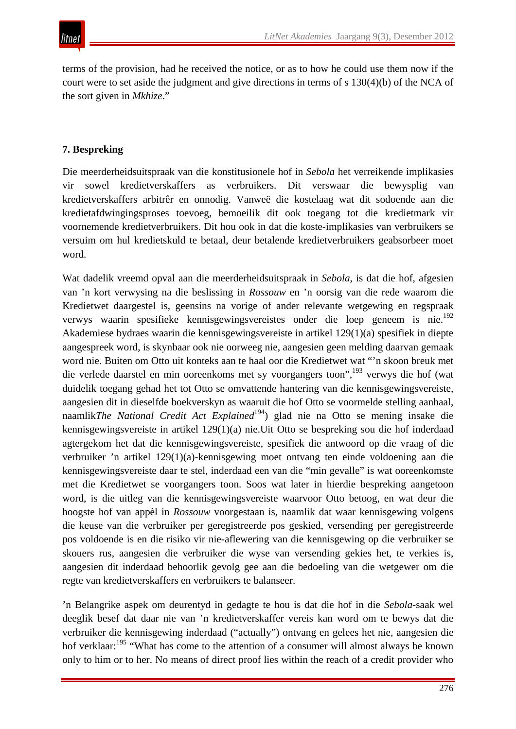terms of the provision, had he received the notice, or as to how he could use them now if the court were to set aside the judgment and give directions in terms of s 130(4)(b) of the NCA of the sort given in *Mkhize*."

## **7. Bespreking**

Die meerderheidsuitspraak van die konstitusionele hof in *Sebola* het verreikende implikasies vir sowel kredietverskaffers as verbruikers. Dit verswaar die bewysplig van kredietverskaffers arbitrêr en onnodig. Vanweë die kostelaag wat dit sodoende aan die kredietafdwingingsproses toevoeg, bemoeilik dit ook toegang tot die kredietmark vir voornemende kredietverbruikers. Dit hou ook in dat die koste-implikasies van verbruikers se versuim om hul kredietskuld te betaal, deur betalende kredietverbruikers geabsorbeer moet word.

Wat dadelik vreemd opval aan die meerderheidsuitspraak in *Sebola*, is dat die hof, afgesien van 'n kort verwysing na die beslissing in *Rossouw* en 'n oorsig van die rede waarom die Kredietwet daargestel is, geensins na vorige of ander relevante wetgewing en regspraak verwys waarin spesifieke kennisgewingsvereistes onder die loep geneem is nie.192 Akademiese bydraes waarin die kennisgewingsvereiste in artikel 129(1)(a) spesifiek in diepte aangespreek word, is skynbaar ook nie oorweeg nie, aangesien geen melding daarvan gemaak word nie. Buiten om Otto uit konteks aan te haal oor die Kredietwet wat "'n skoon breuk met die verlede daarstel en min ooreenkoms met sy voorgangers toon",193 verwys die hof (wat duidelik toegang gehad het tot Otto se omvattende hantering van die kennisgewingsvereiste, aangesien dit in dieselfde boekverskyn as waaruit die hof Otto se voormelde stelling aanhaal, naamlik*The National Credit Act Explained*<sup>194</sup>) glad nie na Otto se mening insake die kennisgewingsvereiste in artikel 129(1)(a) nie.Uit Otto se bespreking sou die hof inderdaad agtergekom het dat die kennisgewingsvereiste, spesifiek die antwoord op die vraag of die verbruiker 'n artikel 129(1)(a)-kennisgewing moet ontvang ten einde voldoening aan die kennisgewingsvereiste daar te stel, inderdaad een van die "min gevalle" is wat ooreenkomste met die Kredietwet se voorgangers toon. Soos wat later in hierdie bespreking aangetoon word, is die uitleg van die kennisgewingsvereiste waarvoor Otto betoog, en wat deur die hoogste hof van appèl in *Rossouw* voorgestaan is, naamlik dat waar kennisgewing volgens die keuse van die verbruiker per geregistreerde pos geskied, versending per geregistreerde pos voldoende is en die risiko vir nie-aflewering van die kennisgewing op die verbruiker se skouers rus, aangesien die verbruiker die wyse van versending gekies het, te verkies is, aangesien dit inderdaad behoorlik gevolg gee aan die bedoeling van die wetgewer om die regte van kredietverskaffers en verbruikers te balanseer.

'n Belangrike aspek om deurentyd in gedagte te hou is dat die hof in die *Sebola*-saak wel deeglik besef dat daar nie van 'n kredietverskaffer vereis kan word om te bewys dat die verbruiker die kennisgewing inderdaad ("actually") ontvang en gelees het nie, aangesien die hof verklaar:<sup>195</sup> "What has come to the attention of a consumer will almost always be known only to him or to her. No means of direct proof lies within the reach of a credit provider who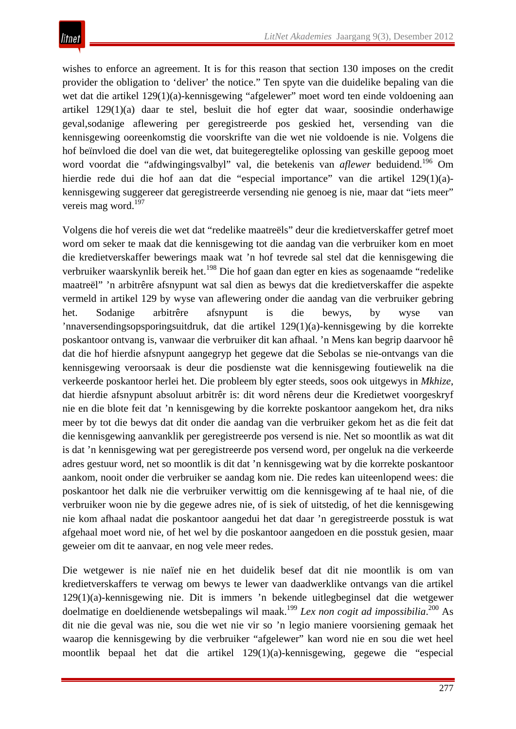wishes to enforce an agreement. It is for this reason that section 130 imposes on the credit provider the obligation to 'deliver' the notice." Ten spyte van die duidelike bepaling van die wet dat die artikel 129(1)(a)-kennisgewing "afgelewer" moet word ten einde voldoening aan artikel 129(1)(a) daar te stel, besluit die hof egter dat waar, soosindie onderhawige geval,sodanige aflewering per geregistreerde pos geskied het, versending van die kennisgewing ooreenkomstig die voorskrifte van die wet nie voldoende is nie. Volgens die hof beïnvloed die doel van die wet, dat buitegeregtelike oplossing van geskille gepoog moet word voordat die "afdwingingsvalbyl" val, die betekenis van *aflewer* beduidend.<sup>196</sup> Om hierdie rede dui die hof aan dat die "especial importance" van die artikel 129(1)(a) kennisgewing suggereer dat geregistreerde versending nie genoeg is nie, maar dat "iets meer" vereis mag word.<sup>197</sup>

Volgens die hof vereis die wet dat "redelike maatreëls" deur die kredietverskaffer getref moet word om seker te maak dat die kennisgewing tot die aandag van die verbruiker kom en moet die kredietverskaffer bewerings maak wat 'n hof tevrede sal stel dat die kennisgewing die verbruiker waarskynlik bereik het.<sup>198</sup> Die hof gaan dan egter en kies as sogenaamde "redelike maatreël" 'n arbitrêre afsnypunt wat sal dien as bewys dat die kredietverskaffer die aspekte vermeld in artikel 129 by wyse van aflewering onder die aandag van die verbruiker gebring het. Sodanige arbitrêre afsnypunt is die bewys, by wyse van 'nnaversendingsopsporingsuitdruk, dat die artikel 129(1)(a)-kennisgewing by die korrekte poskantoor ontvang is, vanwaar die verbruiker dit kan afhaal. 'n Mens kan begrip daarvoor hê dat die hof hierdie afsnypunt aangegryp het gegewe dat die Sebolas se nie-ontvangs van die kennisgewing veroorsaak is deur die posdienste wat die kennisgewing foutiewelik na die verkeerde poskantoor herlei het. Die probleem bly egter steeds, soos ook uitgewys in *Mkhize*, dat hierdie afsnypunt absoluut arbitrêr is: dit word nêrens deur die Kredietwet voorgeskryf nie en die blote feit dat 'n kennisgewing by die korrekte poskantoor aangekom het, dra niks meer by tot die bewys dat dit onder die aandag van die verbruiker gekom het as die feit dat die kennisgewing aanvanklik per geregistreerde pos versend is nie. Net so moontlik as wat dit is dat 'n kennisgewing wat per geregistreerde pos versend word, per ongeluk na die verkeerde adres gestuur word, net so moontlik is dit dat 'n kennisgewing wat by die korrekte poskantoor aankom, nooit onder die verbruiker se aandag kom nie. Die redes kan uiteenlopend wees: die poskantoor het dalk nie die verbruiker verwittig om die kennisgewing af te haal nie, of die verbruiker woon nie by die gegewe adres nie, of is siek of uitstedig, of het die kennisgewing nie kom afhaal nadat die poskantoor aangedui het dat daar 'n geregistreerde posstuk is wat afgehaal moet word nie, of het wel by die poskantoor aangedoen en die posstuk gesien, maar geweier om dit te aanvaar, en nog vele meer redes.

Die wetgewer is nie naïef nie en het duidelik besef dat dit nie moontlik is om van kredietverskaffers te verwag om bewys te lewer van daadwerklike ontvangs van die artikel 129(1)(a)-kennisgewing nie. Dit is immers 'n bekende uitlegbeginsel dat die wetgewer doelmatige en doeldienende wetsbepalings wil maak.<sup>199</sup> Lex non cogit ad impossibilia.<sup>200</sup> As dit nie die geval was nie, sou die wet nie vir so 'n legio maniere voorsiening gemaak het waarop die kennisgewing by die verbruiker "afgelewer" kan word nie en sou die wet heel moontlik bepaal het dat die artikel 129(1)(a)-kennisgewing, gegewe die "especial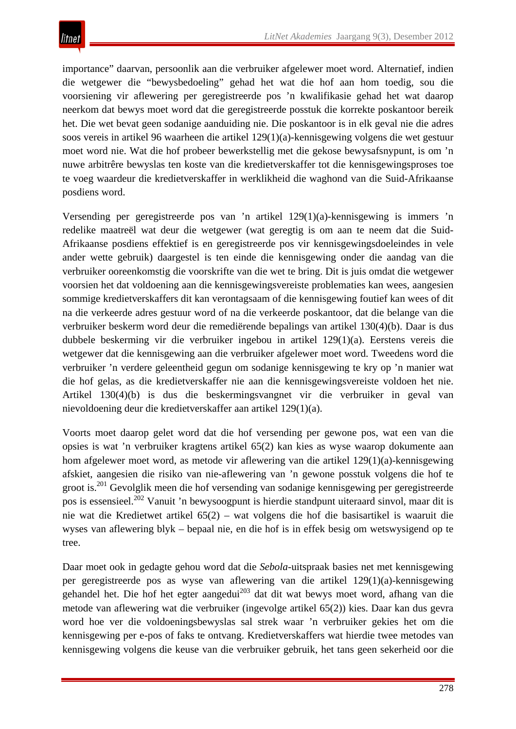importance" daarvan, persoonlik aan die verbruiker afgelewer moet word. Alternatief, indien die wetgewer die "bewysbedoeling" gehad het wat die hof aan hom toedig, sou die voorsiening vir aflewering per geregistreerde pos 'n kwalifikasie gehad het wat daarop neerkom dat bewys moet word dat die geregistreerde posstuk die korrekte poskantoor bereik het. Die wet bevat geen sodanige aanduiding nie. Die poskantoor is in elk geval nie die adres soos vereis in artikel 96 waarheen die artikel 129(1)(a)-kennisgewing volgens die wet gestuur moet word nie. Wat die hof probeer bewerkstellig met die gekose bewysafsnypunt, is om 'n nuwe arbitrêre bewyslas ten koste van die kredietverskaffer tot die kennisgewingsproses toe te voeg waardeur die kredietverskaffer in werklikheid die waghond van die Suid-Afrikaanse posdiens word.

Versending per geregistreerde pos van 'n artikel 129(1)(a)-kennisgewing is immers 'n redelike maatreël wat deur die wetgewer (wat geregtig is om aan te neem dat die Suid-Afrikaanse posdiens effektief is en geregistreerde pos vir kennisgewingsdoeleindes in vele ander wette gebruik) daargestel is ten einde die kennisgewing onder die aandag van die verbruiker ooreenkomstig die voorskrifte van die wet te bring. Dit is juis omdat die wetgewer voorsien het dat voldoening aan die kennisgewingsvereiste problematies kan wees, aangesien sommige kredietverskaffers dit kan verontagsaam of die kennisgewing foutief kan wees of dit na die verkeerde adres gestuur word of na die verkeerde poskantoor, dat die belange van die verbruiker beskerm word deur die remediërende bepalings van artikel 130(4)(b). Daar is dus dubbele beskerming vir die verbruiker ingebou in artikel 129(1)(a). Eerstens vereis die wetgewer dat die kennisgewing aan die verbruiker afgelewer moet word. Tweedens word die verbruiker 'n verdere geleentheid gegun om sodanige kennisgewing te kry op 'n manier wat die hof gelas, as die kredietverskaffer nie aan die kennisgewingsvereiste voldoen het nie. Artikel 130(4)(b) is dus die beskermingsvangnet vir die verbruiker in geval van nievoldoening deur die kredietverskaffer aan artikel 129(1)(a).

Voorts moet daarop gelet word dat die hof versending per gewone pos, wat een van die opsies is wat 'n verbruiker kragtens artikel 65(2) kan kies as wyse waarop dokumente aan hom afgelewer moet word, as metode vir aflewering van die artikel 129(1)(a)-kennisgewing afskiet, aangesien die risiko van nie-aflewering van 'n gewone posstuk volgens die hof te groot is.201 Gevolglik meen die hof versending van sodanige kennisgewing per geregistreerde pos is essensieel.<sup>202</sup> Vanuit 'n bewysoogpunt is hierdie standpunt uiteraard sinvol, maar dit is nie wat die Kredietwet artikel 65(2) – wat volgens die hof die basisartikel is waaruit die wyses van aflewering blyk – bepaal nie, en die hof is in effek besig om wetswysigend op te tree.

Daar moet ook in gedagte gehou word dat die *Sebola*-uitspraak basies net met kennisgewing per geregistreerde pos as wyse van aflewering van die artikel 129(1)(a)-kennisgewing gehandel het. Die hof het egter aangedui<sup>203</sup> dat dit wat bewys moet word, afhang van die metode van aflewering wat die verbruiker (ingevolge artikel 65(2)) kies. Daar kan dus gevra word hoe ver die voldoeningsbewyslas sal strek waar 'n verbruiker gekies het om die kennisgewing per e-pos of faks te ontvang. Kredietverskaffers wat hierdie twee metodes van kennisgewing volgens die keuse van die verbruiker gebruik, het tans geen sekerheid oor die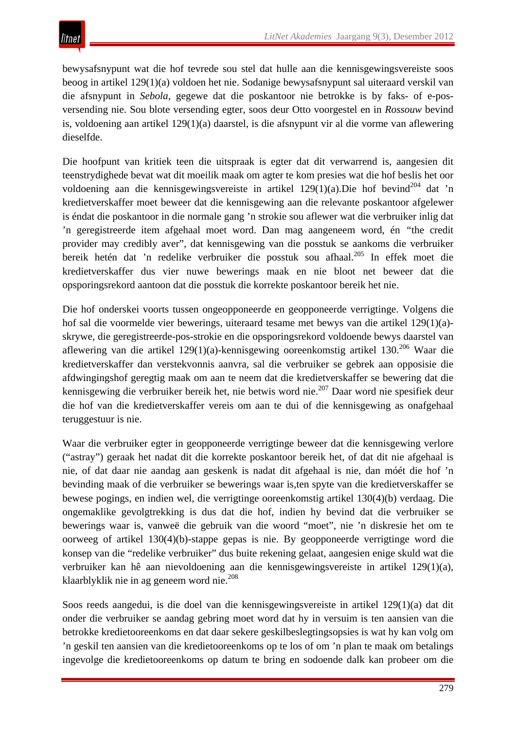bewysafsnypunt wat die hof tevrede sou stel dat hulle aan die kennisgewingsvereiste soos beoog in artikel 129(1)(a) voldoen het nie. Sodanige bewysafsnypunt sal uiteraard verskil van die afsnypunt in *Sebola*, gegewe dat die poskantoor nie betrokke is by faks- of e-posversending nie. Sou blote versending egter, soos deur Otto voorgestel en in *Rossouw* bevind is, voldoening aan artikel 129(1)(a) daarstel, is die afsnypunt vir al die vorme van aflewering dieselfde.

Die hoofpunt van kritiek teen die uitspraak is egter dat dit verwarrend is, aangesien dit teenstrydighede bevat wat dit moeilik maak om agter te kom presies wat die hof beslis het oor voldoening aan die kennisgewingsvereiste in artikel  $129(1)(a)$ . Die hof bevind<sup>204</sup> dat 'n kredietverskaffer moet beweer dat die kennisgewing aan die relevante poskantoor afgelewer is éndat die poskantoor in die normale gang 'n strokie sou aflewer wat die verbruiker inlig dat 'n geregistreerde item afgehaal moet word. Dan mag aangeneem word, én *"*the credit provider may credibly aver", dat kennisgewing van die posstuk se aankoms die verbruiker bereik hetén dat 'n redelike verbruiker die posstuk sou afhaal.205 In effek moet die kredietverskaffer dus vier nuwe bewerings maak en nie bloot net beweer dat die opsporingsrekord aantoon dat die posstuk die korrekte poskantoor bereik het nie.

Die hof onderskei voorts tussen ongeopponeerde en geopponeerde verrigtinge. Volgens die hof sal die voormelde vier bewerings, uiteraard tesame met bewys van die artikel 129(1)(a) skrywe, die geregistreerde-pos-strokie en die opsporingsrekord voldoende bewys daarstel van aflewering van die artikel 129(1)(a)-kennisgewing ooreenkomstig artikel 130.<sup>206</sup> Waar die kredietverskaffer dan verstekvonnis aanvra, sal die verbruiker se gebrek aan opposisie die afdwingingshof geregtig maak om aan te neem dat die kredietverskaffer se bewering dat die kennisgewing die verbruiker bereik het, nie betwis word nie.<sup>207</sup> Daar word nie spesifiek deur die hof van die kredietverskaffer vereis om aan te dui of die kennisgewing as onafgehaal teruggestuur is nie.

Waar die verbruiker egter in geopponeerde verrigtinge beweer dat die kennisgewing verlore ("astray") geraak het nadat dit die korrekte poskantoor bereik het, of dat dit nie afgehaal is nie, of dat daar nie aandag aan geskenk is nadat dit afgehaal is nie, dan móét die hof 'n bevinding maak of die verbruiker se bewerings waar is,ten spyte van die kredietverskaffer se bewese pogings, en indien wel, die verrigtinge ooreenkomstig artikel 130(4)(b) verdaag. Die ongemaklike gevolgtrekking is dus dat die hof, indien hy bevind dat die verbruiker se bewerings waar is, vanweë die gebruik van die woord "moet", nie 'n diskresie het om te oorweeg of artikel 130(4)(b)-stappe gepas is nie. By geopponeerde verrigtinge word die konsep van die "redelike verbruiker" dus buite rekening gelaat, aangesien enige skuld wat die verbruiker kan hê aan nievoldoening aan die kennisgewingsvereiste in artikel 129(1)(a), klaarblyklik nie in ag geneem word nie.<sup>208</sup>

Soos reeds aangedui, is die doel van die kennisgewingsvereiste in artikel 129(1)(a) dat dit onder die verbruiker se aandag gebring moet word dat hy in versuim is ten aansien van die betrokke kredietooreenkoms en dat daar sekere geskilbeslegtingsopsies is wat hy kan volg om 'n geskil ten aansien van die kredietooreenkoms op te los of om 'n plan te maak om betalings ingevolge die kredietooreenkoms op datum te bring en sodoende dalk kan probeer om die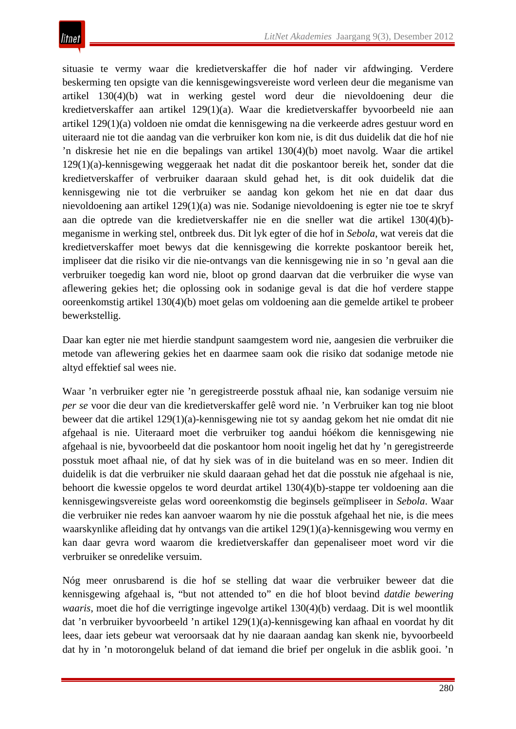situasie te vermy waar die kredietverskaffer die hof nader vir afdwinging. Verdere beskerming ten opsigte van die kennisgewingsvereiste word verleen deur die meganisme van artikel 130(4)(b) wat in werking gestel word deur die nievoldoening deur die kredietverskaffer aan artikel 129(1)(a). Waar die kredietverskaffer byvoorbeeld nie aan artikel 129(1)(a) voldoen nie omdat die kennisgewing na die verkeerde adres gestuur word en uiteraard nie tot die aandag van die verbruiker kon kom nie, is dit dus duidelik dat die hof nie 'n diskresie het nie en die bepalings van artikel 130(4)(b) moet navolg. Waar die artikel 129(1)(a)-kennisgewing weggeraak het nadat dit die poskantoor bereik het, sonder dat die kredietverskaffer of verbruiker daaraan skuld gehad het, is dit ook duidelik dat die kennisgewing nie tot die verbruiker se aandag kon gekom het nie en dat daar dus nievoldoening aan artikel 129(1)(a) was nie. Sodanige nievoldoening is egter nie toe te skryf aan die optrede van die kredietverskaffer nie en die sneller wat die artikel 130(4)(b) meganisme in werking stel, ontbreek dus. Dit lyk egter of die hof in *Sebola*, wat vereis dat die kredietverskaffer moet bewys dat die kennisgewing die korrekte poskantoor bereik het, impliseer dat die risiko vir die nie-ontvangs van die kennisgewing nie in so 'n geval aan die verbruiker toegedig kan word nie, bloot op grond daarvan dat die verbruiker die wyse van aflewering gekies het; die oplossing ook in sodanige geval is dat die hof verdere stappe ooreenkomstig artikel 130(4)(b) moet gelas om voldoening aan die gemelde artikel te probeer bewerkstellig.

Daar kan egter nie met hierdie standpunt saamgestem word nie, aangesien die verbruiker die metode van aflewering gekies het en daarmee saam ook die risiko dat sodanige metode nie altyd effektief sal wees nie.

Waar 'n verbruiker egter nie 'n geregistreerde posstuk afhaal nie, kan sodanige versuim nie *per se* voor die deur van die kredietverskaffer gelê word nie. 'n Verbruiker kan tog nie bloot beweer dat die artikel 129(1)(a)-kennisgewing nie tot sy aandag gekom het nie omdat dit nie afgehaal is nie. Uiteraard moet die verbruiker tog aandui hóékom die kennisgewing nie afgehaal is nie, byvoorbeeld dat die poskantoor hom nooit ingelig het dat hy 'n geregistreerde posstuk moet afhaal nie, of dat hy siek was of in die buiteland was en so meer. Indien dit duidelik is dat die verbruiker nie skuld daaraan gehad het dat die posstuk nie afgehaal is nie, behoort die kwessie opgelos te word deurdat artikel 130(4)(b)-stappe ter voldoening aan die kennisgewingsvereiste gelas word ooreenkomstig die beginsels geïmpliseer in *Sebola*. Waar die verbruiker nie redes kan aanvoer waarom hy nie die posstuk afgehaal het nie, is die mees waarskynlike afleiding dat hy ontvangs van die artikel 129(1)(a)-kennisgewing wou vermy en kan daar gevra word waarom die kredietverskaffer dan gepenaliseer moet word vir die verbruiker se onredelike versuim.

Nóg meer onrusbarend is die hof se stelling dat waar die verbruiker beweer dat die kennisgewing afgehaal is, "but not attended to" en die hof bloot bevind *datdie bewering waaris*, moet die hof die verrigtinge ingevolge artikel 130(4)(b) verdaag. Dit is wel moontlik dat 'n verbruiker byvoorbeeld 'n artikel 129(1)(a)-kennisgewing kan afhaal en voordat hy dit lees, daar iets gebeur wat veroorsaak dat hy nie daaraan aandag kan skenk nie, byvoorbeeld dat hy in 'n motorongeluk beland of dat iemand die brief per ongeluk in die asblik gooi. 'n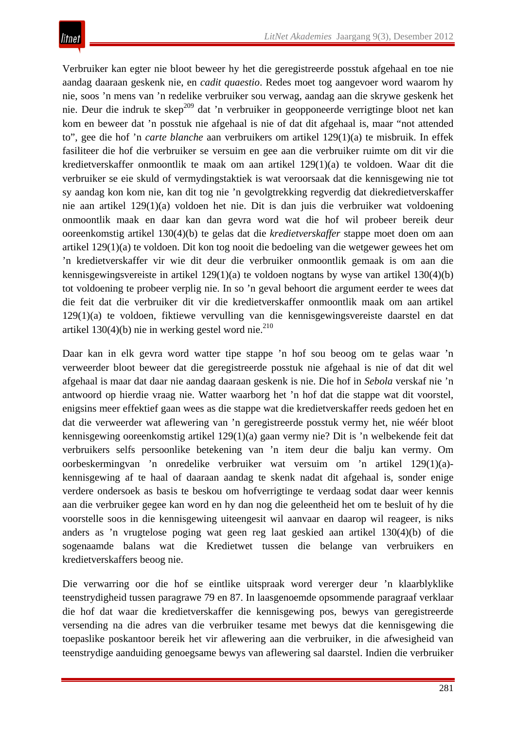Verbruiker kan egter nie bloot beweer hy het die geregistreerde posstuk afgehaal en toe nie aandag daaraan geskenk nie, en *cadit quaestio*. Redes moet tog aangevoer word waarom hy nie, soos 'n mens van 'n redelike verbruiker sou verwag, aandag aan die skrywe geskenk het nie. Deur die indruk te skep<sup>209</sup> dat 'n verbruiker in geopponeerde verrigtinge bloot net kan kom en beweer dat 'n posstuk nie afgehaal is nie of dat dit afgehaal is, maar "not attended to", gee die hof 'n *carte blanche* aan verbruikers om artikel 129(1)(a) te misbruik. In effek fasiliteer die hof die verbruiker se versuim en gee aan die verbruiker ruimte om dit vir die kredietverskaffer onmoontlik te maak om aan artikel 129(1)(a) te voldoen. Waar dit die verbruiker se eie skuld of vermydingstaktiek is wat veroorsaak dat die kennisgewing nie tot sy aandag kon kom nie, kan dit tog nie 'n gevolgtrekking regverdig dat diekredietverskaffer nie aan artikel 129(1)(a) voldoen het nie. Dit is dan juis die verbruiker wat voldoening onmoontlik maak en daar kan dan gevra word wat die hof wil probeer bereik deur ooreenkomstig artikel 130(4)(b) te gelas dat die *kredietverskaffer* stappe moet doen om aan artikel 129(1)(a) te voldoen. Dit kon tog nooit die bedoeling van die wetgewer gewees het om 'n kredietverskaffer vir wie dit deur die verbruiker onmoontlik gemaak is om aan die kennisgewingsvereiste in artikel 129(1)(a) te voldoen nogtans by wyse van artikel 130(4)(b) tot voldoening te probeer verplig nie. In so 'n geval behoort die argument eerder te wees dat die feit dat die verbruiker dit vir die kredietverskaffer onmoontlik maak om aan artikel 129(1)(a) te voldoen, fiktiewe vervulling van die kennisgewingsvereiste daarstel en dat artikel  $130(4)(b)$  nie in werking gestel word nie.<sup>210</sup>

Daar kan in elk gevra word watter tipe stappe 'n hof sou beoog om te gelas waar 'n verweerder bloot beweer dat die geregistreerde posstuk nie afgehaal is nie of dat dit wel afgehaal is maar dat daar nie aandag daaraan geskenk is nie. Die hof in *Sebola* verskaf nie 'n antwoord op hierdie vraag nie. Watter waarborg het 'n hof dat die stappe wat dit voorstel, enigsins meer effektief gaan wees as die stappe wat die kredietverskaffer reeds gedoen het en dat die verweerder wat aflewering van 'n geregistreerde posstuk vermy het, nie wéér bloot kennisgewing ooreenkomstig artikel 129(1)(a) gaan vermy nie? Dit is 'n welbekende feit dat verbruikers selfs persoonlike betekening van 'n item deur die balju kan vermy. Om oorbeskermingvan 'n onredelike verbruiker wat versuim om 'n artikel 129(1)(a) kennisgewing af te haal of daaraan aandag te skenk nadat dit afgehaal is, sonder enige verdere ondersoek as basis te beskou om hofverrigtinge te verdaag sodat daar weer kennis aan die verbruiker gegee kan word en hy dan nog die geleentheid het om te besluit of hy die voorstelle soos in die kennisgewing uiteengesit wil aanvaar en daarop wil reageer, is niks anders as 'n vrugtelose poging wat geen reg laat geskied aan artikel 130(4)(b) of die sogenaamde balans wat die Kredietwet tussen die belange van verbruikers en kredietverskaffers beoog nie.

Die verwarring oor die hof se eintlike uitspraak word vererger deur 'n klaarblyklike teenstrydigheid tussen paragrawe 79 en 87. In laasgenoemde opsommende paragraaf verklaar die hof dat waar die kredietverskaffer die kennisgewing pos, bewys van geregistreerde versending na die adres van die verbruiker tesame met bewys dat die kennisgewing die toepaslike poskantoor bereik het vir aflewering aan die verbruiker, in die afwesigheid van teenstrydige aanduiding genoegsame bewys van aflewering sal daarstel. Indien die verbruiker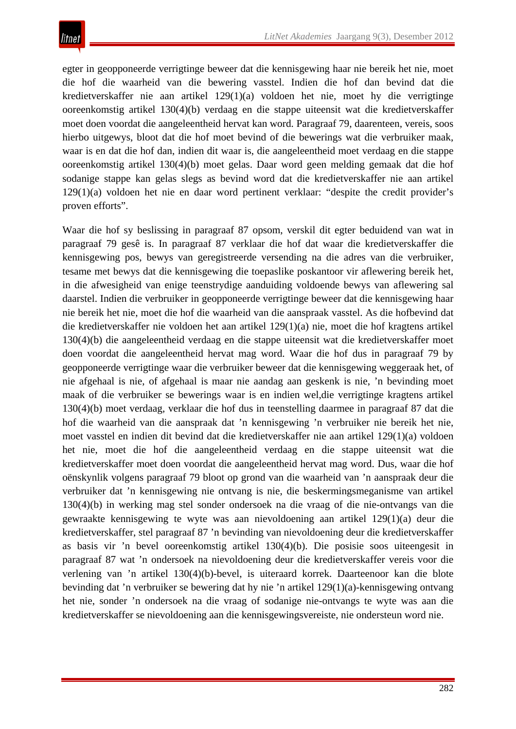egter in geopponeerde verrigtinge beweer dat die kennisgewing haar nie bereik het nie, moet die hof die waarheid van die bewering vasstel. Indien die hof dan bevind dat die kredietverskaffer nie aan artikel 129(1)(a) voldoen het nie*,* moet hy die verrigtinge ooreenkomstig artikel 130(4)(b) verdaag en die stappe uiteensit wat die kredietverskaffer moet doen voordat die aangeleentheid hervat kan word. Paragraaf 79, daarenteen, vereis, soos hierbo uitgewys, bloot dat die hof moet bevind of die bewerings wat die verbruiker maak, waar is en dat die hof dan, indien dit waar is, die aangeleentheid moet verdaag en die stappe ooreenkomstig artikel 130(4)(b) moet gelas. Daar word geen melding gemaak dat die hof sodanige stappe kan gelas slegs as bevind word dat die kredietverskaffer nie aan artikel 129(1)(a) voldoen het nie en daar word pertinent verklaar: "despite the credit provider's proven efforts".

Waar die hof sy beslissing in paragraaf 87 opsom, verskil dit egter beduidend van wat in paragraaf 79 gesê is. In paragraaf 87 verklaar die hof dat waar die kredietverskaffer die kennisgewing pos, bewys van geregistreerde versending na die adres van die verbruiker, tesame met bewys dat die kennisgewing die toepaslike poskantoor vir aflewering bereik het, in die afwesigheid van enige teenstrydige aanduiding voldoende bewys van aflewering sal daarstel. Indien die verbruiker in geopponeerde verrigtinge beweer dat die kennisgewing haar nie bereik het nie, moet die hof die waarheid van die aanspraak vasstel. As die hofbevind dat die kredietverskaffer nie voldoen het aan artikel 129(1)(a) nie, moet die hof kragtens artikel 130(4)(b) die aangeleentheid verdaag en die stappe uiteensit wat die kredietverskaffer moet doen voordat die aangeleentheid hervat mag word. Waar die hof dus in paragraaf 79 by geopponeerde verrigtinge waar die verbruiker beweer dat die kennisgewing weggeraak het, of nie afgehaal is nie, of afgehaal is maar nie aandag aan geskenk is nie, 'n bevinding moet maak of die verbruiker se bewerings waar is en indien wel,die verrigtinge kragtens artikel 130(4)(b) moet verdaag, verklaar die hof dus in teenstelling daarmee in paragraaf 87 dat die hof die waarheid van die aanspraak dat 'n kennisgewing 'n verbruiker nie bereik het nie, moet vasstel en indien dit bevind dat die kredietverskaffer nie aan artikel 129(1)(a) voldoen het nie, moet die hof die aangeleentheid verdaag en die stappe uiteensit wat die kredietverskaffer moet doen voordat die aangeleentheid hervat mag word. Dus, waar die hof oënskynlik volgens paragraaf 79 bloot op grond van die waarheid van 'n aanspraak deur die verbruiker dat 'n kennisgewing nie ontvang is nie, die beskermingsmeganisme van artikel 130(4)(b) in werking mag stel sonder ondersoek na die vraag of die nie-ontvangs van die gewraakte kennisgewing te wyte was aan nievoldoening aan artikel 129(1)(a) deur die kredietverskaffer, stel paragraaf 87 'n bevinding van nievoldoening deur die kredietverskaffer as basis vir 'n bevel ooreenkomstig artikel 130(4)(b). Die posisie soos uiteengesit in paragraaf 87 wat 'n ondersoek na nievoldoening deur die kredietverskaffer vereis voor die verlening van 'n artikel 130(4)(b)-bevel, is uiteraard korrek. Daarteenoor kan die blote bevinding dat 'n verbruiker se bewering dat hy nie 'n artikel 129(1)(a)-kennisgewing ontvang het nie, sonder 'n ondersoek na die vraag of sodanige nie-ontvangs te wyte was aan die kredietverskaffer se nievoldoening aan die kennisgewingsvereiste, nie ondersteun word nie.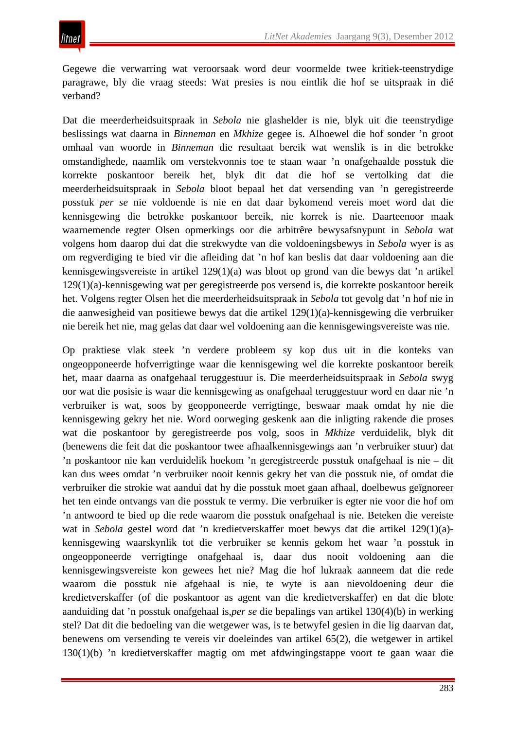Gegewe die verwarring wat veroorsaak word deur voormelde twee kritiek-teenstrydige paragrawe, bly die vraag steeds: Wat presies is nou eintlik die hof se uitspraak in dié verband?

Dat die meerderheidsuitspraak in *Sebola* nie glashelder is nie, blyk uit die teenstrydige beslissings wat daarna in *Binneman* en *Mkhize* gegee is. Alhoewel die hof sonder 'n groot omhaal van woorde in *Binneman* die resultaat bereik wat wenslik is in die betrokke omstandighede, naamlik om verstekvonnis toe te staan waar 'n onafgehaalde posstuk die korrekte poskantoor bereik het, blyk dit dat die hof se vertolking dat die meerderheidsuitspraak in *Sebola* bloot bepaal het dat versending van 'n geregistreerde posstuk *per se* nie voldoende is nie en dat daar bykomend vereis moet word dat die kennisgewing die betrokke poskantoor bereik, nie korrek is nie. Daarteenoor maak waarnemende regter Olsen opmerkings oor die arbitrêre bewysafsnypunt in *Sebola* wat volgens hom daarop dui dat die strekwydte van die voldoeningsbewys in *Sebola* wyer is as om regverdiging te bied vir die afleiding dat 'n hof kan beslis dat daar voldoening aan die kennisgewingsvereiste in artikel 129(1)(a) was bloot op grond van die bewys dat 'n artikel 129(1)(a)-kennisgewing wat per geregistreerde pos versend is, die korrekte poskantoor bereik het. Volgens regter Olsen het die meerderheidsuitspraak in *Sebola* tot gevolg dat 'n hof nie in die aanwesigheid van positiewe bewys dat die artikel 129(1)(a)-kennisgewing die verbruiker nie bereik het nie, mag gelas dat daar wel voldoening aan die kennisgewingsvereiste was nie.

Op praktiese vlak steek 'n verdere probleem sy kop dus uit in die konteks van ongeopponeerde hofverrigtinge waar die kennisgewing wel die korrekte poskantoor bereik het, maar daarna as onafgehaal teruggestuur is. Die meerderheidsuitspraak in *Sebola* swyg oor wat die posisie is waar die kennisgewing as onafgehaal teruggestuur word en daar nie 'n verbruiker is wat, soos by geopponeerde verrigtinge, beswaar maak omdat hy nie die kennisgewing gekry het nie. Word oorweging geskenk aan die inligting rakende die proses wat die poskantoor by geregistreerde pos volg, soos in *Mkhize* verduidelik, blyk dit (benewens die feit dat die poskantoor twee afhaalkennisgewings aan 'n verbruiker stuur) dat 'n poskantoor nie kan verduidelik hoekom 'n geregistreerde posstuk onafgehaal is nie – dit kan dus wees omdat 'n verbruiker nooit kennis gekry het van die posstuk nie, of omdat die verbruiker die strokie wat aandui dat hy die posstuk moet gaan afhaal, doelbewus geïgnoreer het ten einde ontvangs van die posstuk te vermy. Die verbruiker is egter nie voor die hof om 'n antwoord te bied op die rede waarom die posstuk onafgehaal is nie. Beteken die vereiste wat in *Sebola* gestel word dat 'n kredietverskaffer moet bewys dat die artikel 129(1)(a) kennisgewing waarskynlik tot die verbruiker se kennis gekom het waar 'n posstuk in ongeopponeerde verrigtinge onafgehaal is, daar dus nooit voldoening aan die kennisgewingsvereiste kon gewees het nie? Mag die hof lukraak aanneem dat die rede waarom die posstuk nie afgehaal is nie, te wyte is aan nievoldoening deur die kredietverskaffer (of die poskantoor as agent van die kredietverskaffer) en dat die blote aanduiding dat 'n posstuk onafgehaal is,*per se* die bepalings van artikel 130(4)(b) in werking stel? Dat dit die bedoeling van die wetgewer was, is te betwyfel gesien in die lig daarvan dat, benewens om versending te vereis vir doeleindes van artikel 65(2), die wetgewer in artikel 130(1)(b) 'n kredietverskaffer magtig om met afdwingingstappe voort te gaan waar die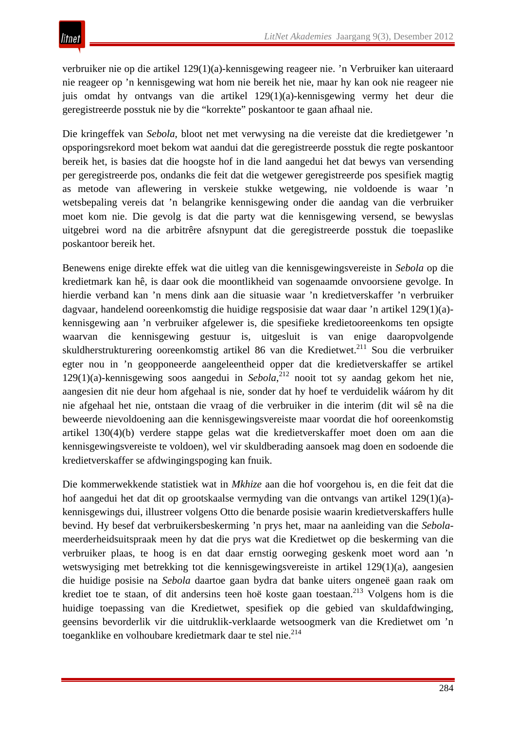verbruiker nie op die artikel 129(1)(a)-kennisgewing reageer nie. 'n Verbruiker kan uiteraard nie reageer op 'n kennisgewing wat hom nie bereik het nie, maar hy kan ook nie reageer nie juis omdat hy ontvangs van die artikel 129(1)(a)-kennisgewing vermy het deur die geregistreerde posstuk nie by die "korrekte" poskantoor te gaan afhaal nie.

Die kringeffek van *Sebola*, bloot net met verwysing na die vereiste dat die kredietgewer 'n opsporingsrekord moet bekom wat aandui dat die geregistreerde posstuk die regte poskantoor bereik het, is basies dat die hoogste hof in die land aangedui het dat bewys van versending per geregistreerde pos, ondanks die feit dat die wetgewer geregistreerde pos spesifiek magtig as metode van aflewering in verskeie stukke wetgewing, nie voldoende is waar 'n wetsbepaling vereis dat 'n belangrike kennisgewing onder die aandag van die verbruiker moet kom nie. Die gevolg is dat die party wat die kennisgewing versend, se bewyslas uitgebrei word na die arbitrêre afsnypunt dat die geregistreerde posstuk die toepaslike poskantoor bereik het.

Benewens enige direkte effek wat die uitleg van die kennisgewingsvereiste in *Sebola* op die kredietmark kan hê, is daar ook die moontlikheid van sogenaamde onvoorsiene gevolge. In hierdie verband kan 'n mens dink aan die situasie waar 'n kredietverskaffer 'n verbruiker dagvaar, handelend ooreenkomstig die huidige regsposisie dat waar daar 'n artikel 129(1)(a) kennisgewing aan 'n verbruiker afgelewer is, die spesifieke kredietooreenkoms ten opsigte waarvan die kennisgewing gestuur is, uitgesluit is van enige daaropvolgende skuldherstrukturering ooreenkomstig artikel 86 van die Kredietwet.<sup>211</sup> Sou die verbruiker egter nou in 'n geopponeerde aangeleentheid opper dat die kredietverskaffer se artikel 129(1)(a)-kennisgewing soos aangedui in *Sebola*, <sup>212</sup> nooit tot sy aandag gekom het nie, aangesien dit nie deur hom afgehaal is nie, sonder dat hy hoef te verduidelik wáárom hy dit nie afgehaal het nie, ontstaan die vraag of die verbruiker in die interim (dit wil sê na die beweerde nievoldoening aan die kennisgewingsvereiste maar voordat die hof ooreenkomstig artikel 130(4)(b) verdere stappe gelas wat die kredietverskaffer moet doen om aan die kennisgewingsvereiste te voldoen), wel vir skuldberading aansoek mag doen en sodoende die kredietverskaffer se afdwingingspoging kan fnuik.

Die kommerwekkende statistiek wat in *Mkhize* aan die hof voorgehou is, en die feit dat die hof aangedui het dat dit op grootskaalse vermyding van die ontvangs van artikel 129(1)(a) kennisgewings dui, illustreer volgens Otto die benarde posisie waarin kredietverskaffers hulle bevind. Hy besef dat verbruikersbeskerming 'n prys het, maar na aanleiding van die *Sebola*meerderheidsuitspraak meen hy dat die prys wat die Kredietwet op die beskerming van die verbruiker plaas, te hoog is en dat daar ernstig oorweging geskenk moet word aan 'n wetswysiging met betrekking tot die kennisgewingsvereiste in artikel 129(1)(a), aangesien die huidige posisie na *Sebola* daartoe gaan bydra dat banke uiters ongeneë gaan raak om krediet toe te staan, of dit andersins teen hoë koste gaan toestaan.<sup>213</sup> Volgens hom is die huidige toepassing van die Kredietwet, spesifiek op die gebied van skuldafdwinging, geensins bevorderlik vir die uitdruklik-verklaarde wetsoogmerk van die Kredietwet om 'n toeganklike en volhoubare kredietmark daar te stel nie.<sup>214</sup>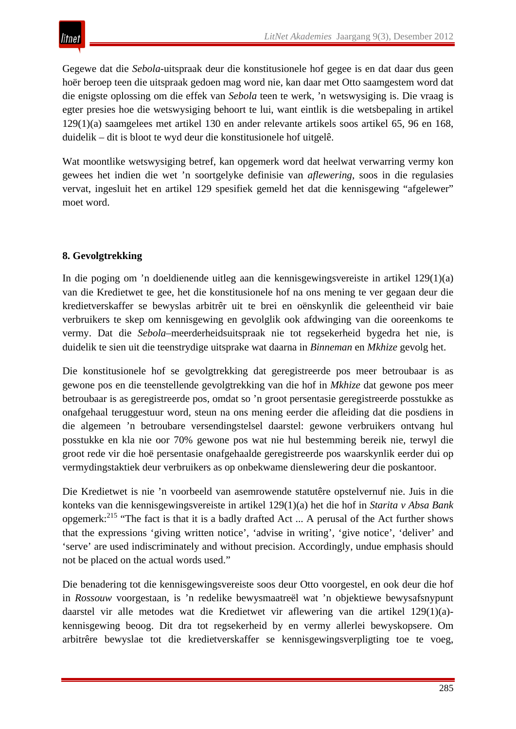Gegewe dat die *Sebola*-uitspraak deur die konstitusionele hof gegee is en dat daar dus geen hoër beroep teen die uitspraak gedoen mag word nie, kan daar met Otto saamgestem word dat die enigste oplossing om die effek van *Sebola* teen te werk, 'n wetswysiging is. Die vraag is egter presies hoe die wetswysiging behoort te lui, want eintlik is die wetsbepaling in artikel 129(1)(a) saamgelees met artikel 130 en ander relevante artikels soos artikel 65, 96 en 168, duidelik – dit is bloot te wyd deur die konstitusionele hof uitgelê.

Wat moontlike wetswysiging betref, kan opgemerk word dat heelwat verwarring vermy kon gewees het indien die wet 'n soortgelyke definisie van *aflewering*, soos in die regulasies vervat, ingesluit het en artikel 129 spesifiek gemeld het dat die kennisgewing "afgelewer" moet word.

# **8. Gevolgtrekking**

In die poging om 'n doeldienende uitleg aan die kennisgewingsvereiste in artikel 129(1)(a) van die Kredietwet te gee, het die konstitusionele hof na ons mening te ver gegaan deur die kredietverskaffer se bewyslas arbitrêr uit te brei en oënskynlik die geleentheid vir baie verbruikers te skep om kennisgewing en gevolglik ook afdwinging van die ooreenkoms te vermy. Dat die *Sebola*–meerderheidsuitspraak nie tot regsekerheid bygedra het nie, is duidelik te sien uit die teenstrydige uitsprake wat daarna in *Binneman* en *Mkhize* gevolg het.

Die konstitusionele hof se gevolgtrekking dat geregistreerde pos meer betroubaar is as gewone pos en die teenstellende gevolgtrekking van die hof in *Mkhize* dat gewone pos meer betroubaar is as geregistreerde pos, omdat so 'n groot persentasie geregistreerde posstukke as onafgehaal teruggestuur word, steun na ons mening eerder die afleiding dat die posdiens in die algemeen 'n betroubare versendingstelsel daarstel: gewone verbruikers ontvang hul posstukke en kla nie oor 70% gewone pos wat nie hul bestemming bereik nie, terwyl die groot rede vir die hoë persentasie onafgehaalde geregistreerde pos waarskynlik eerder dui op vermydingstaktiek deur verbruikers as op onbekwame dienslewering deur die poskantoor.

Die Kredietwet is nie 'n voorbeeld van asemrowende statutêre opstelvernuf nie. Juis in die konteks van die kennisgewingsvereiste in artikel 129(1)(a) het die hof in *Starita v Absa Bank*  opgemerk:<sup>215</sup> "The fact is that it is a badly drafted Act ... A perusal of the Act further shows that the expressions 'giving written notice', 'advise in writing', 'give notice', 'deliver' and 'serve' are used indiscriminately and without precision. Accordingly, undue emphasis should not be placed on the actual words used."

Die benadering tot die kennisgewingsvereiste soos deur Otto voorgestel, en ook deur die hof in *Rossouw* voorgestaan, is 'n redelike bewysmaatreël wat 'n objektiewe bewysafsnypunt daarstel vir alle metodes wat die Kredietwet vir aflewering van die artikel 129(1)(a) kennisgewing beoog. Dit dra tot regsekerheid by en vermy allerlei bewyskopsere. Om arbitrêre bewyslae tot die kredietverskaffer se kennisgewingsverpligting toe te voeg,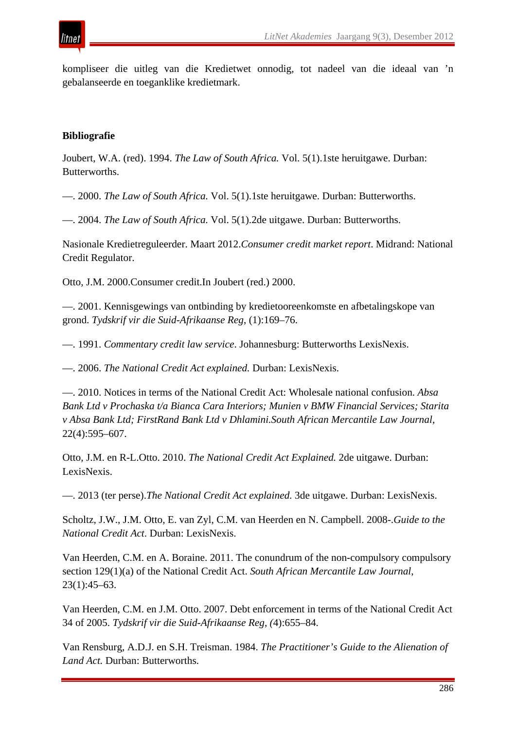

kompliseer die uitleg van die Kredietwet onnodig, tot nadeel van die ideaal van 'n gebalanseerde en toeganklike kredietmark.

#### **Bibliografie**

Joubert, W.A. (red). 1994. *The Law of South Africa.* Vol. 5(1).1ste heruitgawe. Durban: Butterworths.

—. 2000. *The Law of South Africa.* Vol. 5(1).1ste heruitgawe. Durban: Butterworths.

—. 2004. *The Law of South Africa.* Vol. 5(1).2de uitgawe. Durban: Butterworths.

Nasionale Kredietreguleerder. Maart 2012.*Consumer credit market report*. Midrand: National Credit Regulator.

Otto, J.M. 2000.Consumer credit.In Joubert (red.) 2000.

—. 2001. Kennisgewings van ontbinding by kredietooreenkomste en afbetalingskope van grond. *Tydskrif vir die Suid-Afrikaanse Reg*, (1):169–76.

—. 1991. *Commentary credit law service*. Johannesburg: Butterworths LexisNexis.

—. 2006. *The National Credit Act explained.* Durban: LexisNexis.

—. 2010. Notices in terms of the National Credit Act: Wholesale national confusion. *Absa Bank Ltd v Prochaska t/a Bianca Cara Interiors; Munien v BMW Financial Services; Starita v Absa Bank Ltd; FirstRand Bank Ltd v Dhlamini.South African Mercantile Law Journal*, 22(4):595–607.

Otto, J.M. en R-L.Otto. 2010. *The National Credit Act Explained.* 2de uitgawe. Durban: LexisNexis.

—. 2013 (ter perse).*The National Credit Act explained.* 3de uitgawe. Durban: LexisNexis.

Scholtz, J.W., J.M. Otto, E. van Zyl, C.M. van Heerden en N. Campbell. 2008-.*Guide to the National Credit Act*. Durban: LexisNexis.

Van Heerden, C.M. en A. Boraine. 2011. The conundrum of the non-compulsory compulsory section 129(1)(a) of the National Credit Act. *South African Mercantile Law Journal*, 23(1):45–63.

Van Heerden, C.M. en J.M. Otto. 2007. Debt enforcement in terms of the National Credit Act 34 of 2005. *Tydskrif vir die Suid-Afrikaanse Reg*, *(*4):655–84.

Van Rensburg, A.D.J. en S.H. Treisman. 1984. *The Practitioner's Guide to the Alienation of Land Act.* Durban: Butterworths.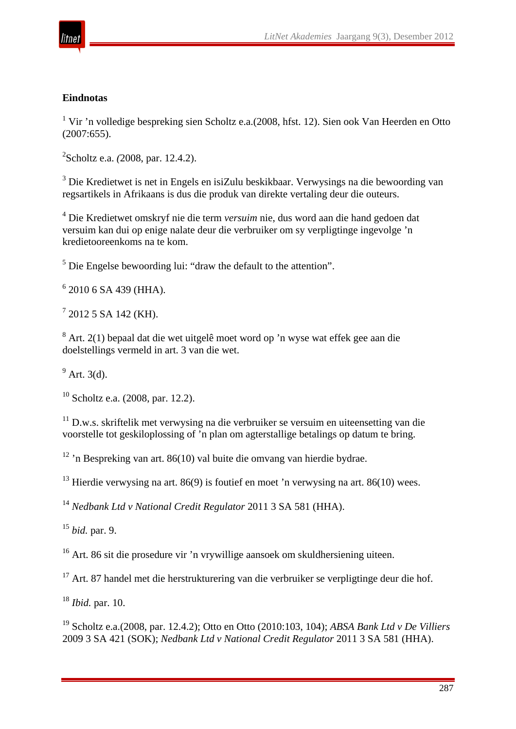

## **Eindnotas**

<sup>1</sup> Vir 'n volledige bespreking sien Scholtz e.a.(2008, hfst. 12). Sien ook Van Heerden en Otto (2007:655).

2 Scholtz e.a. *(*2008, par. 12.4.2).

<sup>3</sup> Die Kredietwet is net in Engels en isiZulu beskikbaar. Verwysings na die bewoording van regsartikels in Afrikaans is dus die produk van direkte vertaling deur die outeurs.

<sup>4</sup> Die Kredietwet omskryf nie die term *versuim* nie, dus word aan die hand gedoen dat versuim kan dui op enige nalate deur die verbruiker om sy verpligtinge ingevolge 'n kredietooreenkoms na te kom.

 $<sup>5</sup>$  Die Engelse bewoording lui: "draw the default to the attention".</sup>

 $6$  2010 6 SA 439 (HHA).

 $7$  2012 5 SA 142 (KH).

<sup>8</sup> Art. 2(1) bepaal dat die wet uitgelê moet word op 'n wyse wat effek gee aan die doelstellings vermeld in art. 3 van die wet.

 $<sup>9</sup>$  Art. 3(d).</sup>

 $10$  Scholtz e.a. (2008, par. 12.2).

 $11$  D.w.s. skriftelik met verwysing na die verbruiker se versuim en uiteensetting van die voorstelle tot geskiloplossing of 'n plan om agterstallige betalings op datum te bring.

<sup>12</sup> 'n Bespreking van art. 86(10) val buite die omvang van hierdie bydrae.

 $13$  Hierdie verwysing na art. 86(9) is foutief en moet 'n verwysing na art. 86(10) wees.

<sup>14</sup> *Nedbank Ltd v National Credit Regulator* 2011 3 SA 581 (HHA).

<sup>15</sup> *bid.* par. 9.

<sup>16</sup> Art. 86 sit die prosedure vir 'n vrywillige aansoek om skuldhersiening uiteen.

 $17$  Art. 87 handel met die herstrukturering van die verbruiker se verpligtinge deur die hof.

<sup>18</sup> *Ibid.* par. 10.

<sup>19</sup> Scholtz e.a.(2008, par. 12.4.2); Otto en Otto (2010:103, 104); *ABSA Bank Ltd v De Villiers* 2009 3 SA 421 (SOK); *Nedbank Ltd v National Credit Regulator* 2011 3 SA 581 (HHA).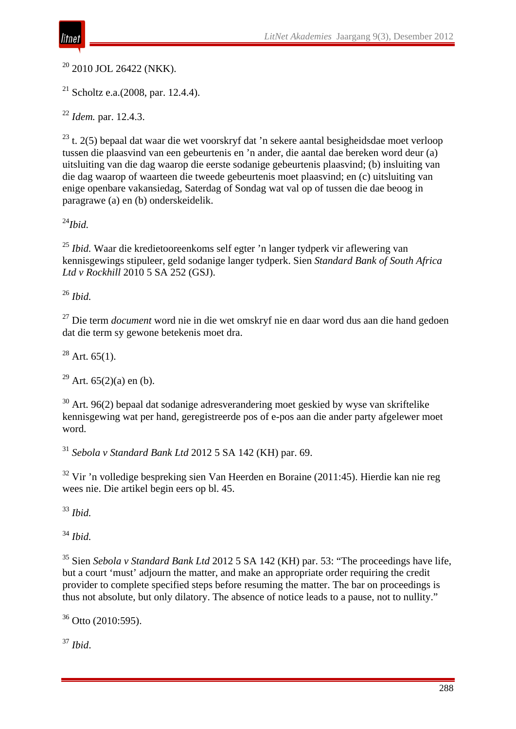

 $20$  2010 JOL 26422 (NKK).

<sup>21</sup> Scholtz e.a. $(2008, \text{par. } 12.4.4)$ .

<sup>22</sup> *Idem.* par. 12.4.3.

 $^{23}$  t. 2(5) bepaal dat waar die wet voorskryf dat 'n sekere aantal besigheidsdae moet verloop tussen die plaasvind van een gebeurtenis en 'n ander, die aantal dae bereken word deur (a) uitsluiting van die dag waarop die eerste sodanige gebeurtenis plaasvind; (b) insluiting van die dag waarop of waarteen die tweede gebeurtenis moet plaasvind; en (c) uitsluiting van enige openbare vakansiedag, Saterdag of Sondag wat val op of tussen die dae beoog in paragrawe (a) en (b) onderskeidelik.

<sup>24</sup>*Ibid.*

<sup>25</sup> *Ibid.* Waar die kredietooreenkoms self egter 'n langer tydperk vir aflewering van kennisgewings stipuleer, geld sodanige langer tydperk. Sien *Standard Bank of South Africa Ltd v Rockhill* 2010 5 SA 252 (GSJ).

<sup>26</sup> *Ibid.*

<sup>27</sup> Die term *document* word nie in die wet omskryf nie en daar word dus aan die hand gedoen dat die term sy gewone betekenis moet dra.

 $28$  Art. 65(1).

<sup>29</sup> Art.  $65(2)(a)$  en (b).

 $30$  Art. 96(2) bepaal dat sodanige adresverandering moet geskied by wyse van skriftelike kennisgewing wat per hand, geregistreerde pos of e-pos aan die ander party afgelewer moet word.

<sup>31</sup> *Sebola v Standard Bank Ltd* 2012 5 SA 142 (KH) par. 69.

<sup>32</sup> Vir 'n volledige bespreking sien Van Heerden en Boraine (2011:45). Hierdie kan nie reg wees nie. Die artikel begin eers op bl. 45.

<sup>33</sup> *Ibid.*

<sup>34</sup> *Ibid.*

<sup>35</sup> Sien *Sebola v Standard Bank Ltd* 2012 5 SA 142 (KH) par. 53: "The proceedings have life, but a court 'must' adjourn the matter, and make an appropriate order requiring the credit provider to complete specified steps before resuming the matter. The bar on proceedings is thus not absolute, but only dilatory. The absence of notice leads to a pause, not to nullity."

 $36$  Otto (2010:595).

<sup>37</sup> *Ibid*.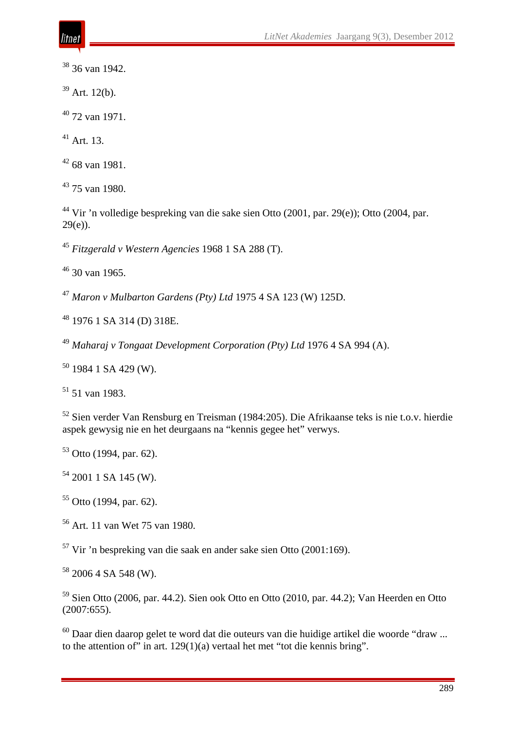36 van 1942.

Art. 12(b).

72 van 1971.

 $^{41}$  Art. 13.

68 van 1981.

75 van 1980.

 Vir 'n volledige bespreking van die sake sien Otto (2001, par. 29(e)); Otto (2004, par. 29(e)).

*Fitzgerald v Western Agencies* 1968 1 SA 288 (T).

30 van 1965.

*Maron v Mulbarton Gardens (Pty) Ltd* 1975 4 SA 123 (W) 125D.

1976 1 SA 314 (D) 318E.

*Maharaj v Tongaat Development Corporation (Pty) Ltd* 1976 4 SA 994 (A).

1984 1 SA 429 (W).

51 van 1983.

 Sien verder Van Rensburg en Treisman (1984:205). Die Afrikaanse teks is nie t.o.v. hierdie aspek gewysig nie en het deurgaans na "kennis gegee het" verwys.

Otto (1994, par. 62).

2001 1 SA 145 (W).

Otto (1994, par. 62).

Art. 11 van Wet 75 van 1980.

Vir 'n bespreking van die saak en ander sake sien Otto (2001:169).

2006 4 SA 548 (W).

 Sien Otto (2006, par. 44.2). Sien ook Otto en Otto (2010, par. 44.2); Van Heerden en Otto (2007:655).

 Daar dien daarop gelet te word dat die outeurs van die huidige artikel die woorde "draw ... to the attention of" in art. 129(1)(a) vertaal het met "tot die kennis bring".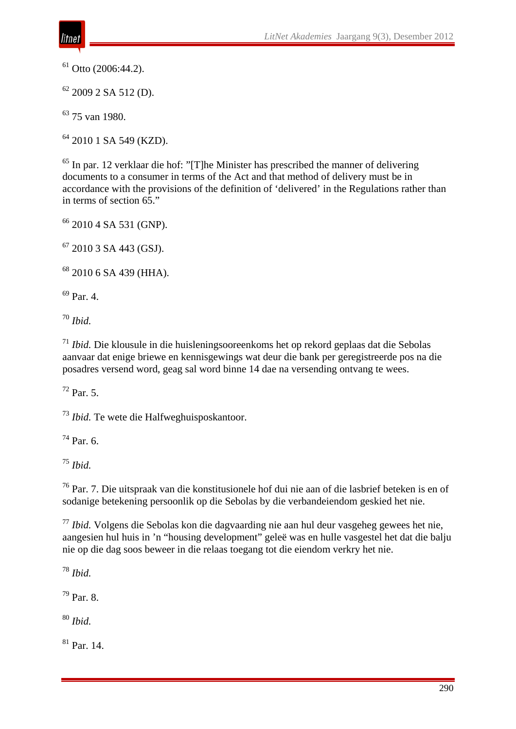Otto (2006:44.2).

2009 2 SA 512 (D).

75 van 1980.

2010 1 SA 549 (KZD).

 In par. 12 verklaar die hof: "[T]he Minister has prescribed the manner of delivering documents to a consumer in terms of the Act and that method of delivery must be in accordance with the provisions of the definition of 'delivered' in the Regulations rather than in terms of section 65."

2010 4 SA 531 (GNP).

2010 3 SA 443 (GSJ).

2010 6 SA 439 (HHA).

Par. 4.

*Ibid.*

 *Ibid.* Die klousule in die huisleningsooreenkoms het op rekord geplaas dat die Sebolas aanvaar dat enige briewe en kennisgewings wat deur die bank per geregistreerde pos na die posadres versend word, geag sal word binne 14 dae na versending ontvang te wees.

Par. 5.

*Ibid.* Te wete die Halfweghuisposkantoor.

 $^{74}$  Par. 6.

*Ibid.*

 Par. 7. Die uitspraak van die konstitusionele hof dui nie aan of die lasbrief beteken is en of sodanige betekening persoonlik op die Sebolas by die verbandeiendom geskied het nie.

 *Ibid.* Volgens die Sebolas kon die dagvaarding nie aan hul deur vasgeheg gewees het nie, aangesien hul huis in 'n "housing development" geleë was en hulle vasgestel het dat die balju nie op die dag soos beweer in die relaas toegang tot die eiendom verkry het nie.

*Ibid.*

Par. 8.

*Ibid.*

Par. 14.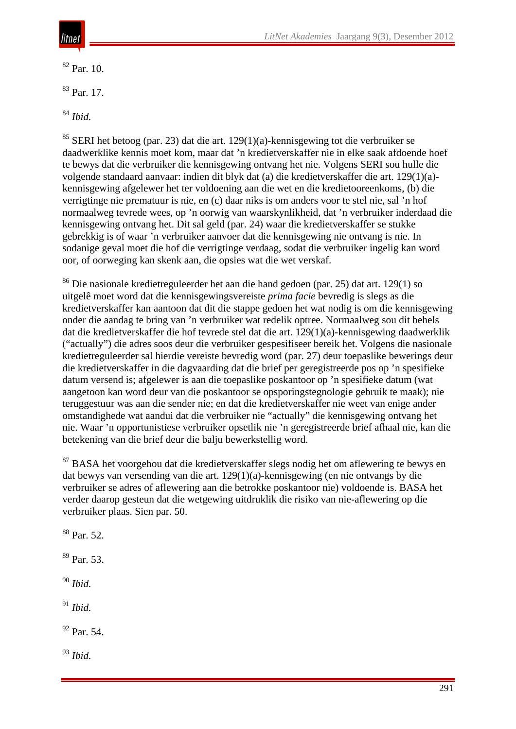

 $82$  Par. 10.

<sup>83</sup> Par. 17.

<sup>84</sup> *Ibid.*

 $85$  SERI het betoog (par. 23) dat die art. 129(1)(a)-kennisgewing tot die verbruiker se daadwerklike kennis moet kom, maar dat 'n kredietverskaffer nie in elke saak afdoende hoef te bewys dat die verbruiker die kennisgewing ontvang het nie. Volgens SERI sou hulle die volgende standaard aanvaar: indien dit blyk dat (a) die kredietverskaffer die art. 129(1)(a) kennisgewing afgelewer het ter voldoening aan die wet en die kredietooreenkoms, (b) die verrigtinge nie prematuur is nie, en (c) daar niks is om anders voor te stel nie, sal 'n hof normaalweg tevrede wees, op 'n oorwig van waarskynlikheid, dat 'n verbruiker inderdaad die kennisgewing ontvang het. Dit sal geld (par. 24) waar die kredietverskaffer se stukke gebrekkig is of waar 'n verbruiker aanvoer dat die kennisgewing nie ontvang is nie. In sodanige geval moet die hof die verrigtinge verdaag, sodat die verbruiker ingelig kan word oor, of oorweging kan skenk aan, die opsies wat die wet verskaf.

<sup>86</sup> Die nasionale kredietreguleerder het aan die hand gedoen (par. 25) dat art. 129(1) so uitgelê moet word dat die kennisgewingsvereiste *prima facie* bevredig is slegs as die kredietverskaffer kan aantoon dat dit die stappe gedoen het wat nodig is om die kennisgewing onder die aandag te bring van 'n verbruiker wat redelik optree. Normaalweg sou dit behels dat die kredietverskaffer die hof tevrede stel dat die art. 129(1)(a)-kennisgewing daadwerklik ("actually") die adres soos deur die verbruiker gespesifiseer bereik het. Volgens die nasionale kredietreguleerder sal hierdie vereiste bevredig word (par. 27) deur toepaslike bewerings deur die kredietverskaffer in die dagvaarding dat die brief per geregistreerde pos op 'n spesifieke datum versend is; afgelewer is aan die toepaslike poskantoor op 'n spesifieke datum (wat aangetoon kan word deur van die poskantoor se opsporingstegnologie gebruik te maak); nie teruggestuur was aan die sender nie; en dat die kredietverskaffer nie weet van enige ander omstandighede wat aandui dat die verbruiker nie "actually" die kennisgewing ontvang het nie. Waar 'n opportunistiese verbruiker opsetlik nie 'n geregistreerde brief afhaal nie, kan die betekening van die brief deur die balju bewerkstellig word.

<sup>87</sup> BASA het voorgehou dat die kredietverskaffer slegs nodig het om aflewering te bewys en dat bewys van versending van die art. 129(1)(a)-kennisgewing (en nie ontvangs by die verbruiker se adres of aflewering aan die betrokke poskantoor nie) voldoende is. BASA het verder daarop gesteun dat die wetgewing uitdruklik die risiko van nie-aflewering op die verbruiker plaas. Sien par. 50.

<sup>88</sup> Par. 52. <sup>89</sup> Par. 53. <sup>90</sup> *Ibid.* <sup>91</sup> *Ibid.* <sup>92</sup> Par. 54. <sup>93</sup> *Ibid.*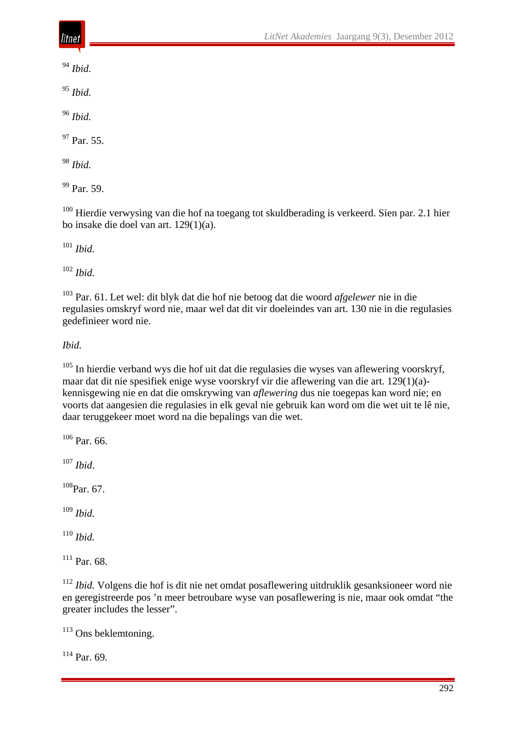<sup>94</sup> *Ibid.*

<sup>95</sup> *Ibid.*

<sup>96</sup> *Ibid.*

 $97$  Par. 55.

<sup>98</sup> *Ibid.*

 $99$  Par. 59.

<sup>100</sup> Hierdie verwysing van die hof na toegang tot skuldberading is verkeerd. Sien par. 2.1 hier bo insake die doel van art. 129(1)(a).

<sup>101</sup> *Ibid.*

<sup>102</sup> *Ibid.*

<sup>103</sup> Par. 61. Let wel: dit blyk dat die hof nie betoog dat die woord *afgelewer* nie in die regulasies omskryf word nie, maar wel dat dit vir doeleindes van art. 130 nie in die regulasies gedefinieer word nie.

*Ibid.*

 $105$  In hierdie verband wys die hof uit dat die regulasies die wyses van aflewering voorskryf, maar dat dit nie spesifiek enige wyse voorskryf vir die aflewering van die art. 129(1)(a) kennisgewing nie en dat die omskrywing van *aflewering* dus nie toegepas kan word nie; en voorts dat aangesien die regulasies in elk geval nie gebruik kan word om die wet uit te lê nie, daar teruggekeer moet word na die bepalings van die wet.

<sup>106</sup> Par. 66.

<sup>107</sup> *Ibid*.

 $108$ Par. 67.

<sup>109</sup> *Ibid.*

<sup>110</sup> *Ibid.*

 $111$  Par. 68.

<sup>112</sup> *Ibid.* Volgens die hof is dit nie net omdat posaflewering uitdruklik gesanksioneer word nie en geregistreerde pos 'n meer betroubare wyse van posaflewering is nie, maar ook omdat "the greater includes the lesser".

<sup>113</sup> Ons beklemtoning.

 $114$  Par. 69.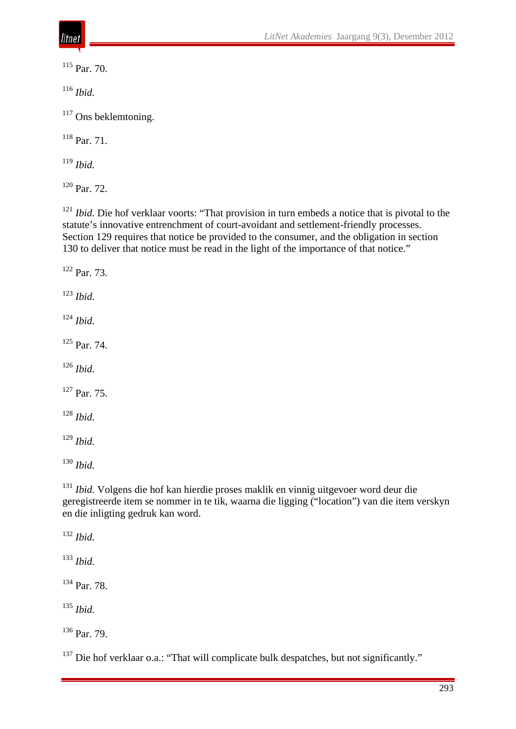<sup>115</sup> Par. 70.

*Ibid.*

<sup>117</sup> Ons beklemtoning.

Par. 71.

*Ibid.*

Par. 72.

<sup>121</sup> *Ibid.* Die hof verklaar voorts: "That provision in turn embeds a notice that is pivotal to the statute's innovative entrenchment of court-avoidant and settlement-friendly processes. Section 129 requires that notice be provided to the consumer, and the obligation in section 130 to deliver that notice must be read in the light of the importance of that notice."

 Par. 73. *Ibid. Ibid.* Par. 74. *Ibid.* Par. 75. *Ibid. Ibid. Ibid.*

 *Ibid.* Volgens die hof kan hierdie proses maklik en vinnig uitgevoer word deur die geregistreerde item se nommer in te tik, waarna die ligging ("location") van die item verskyn en die inligting gedruk kan word.

*Ibid.*

*Ibid.*

Par. 78.

*Ibid.*

Par. 79.

<sup>137</sup> Die hof verklaar o.a.: "That will complicate bulk despatches, but not significantly."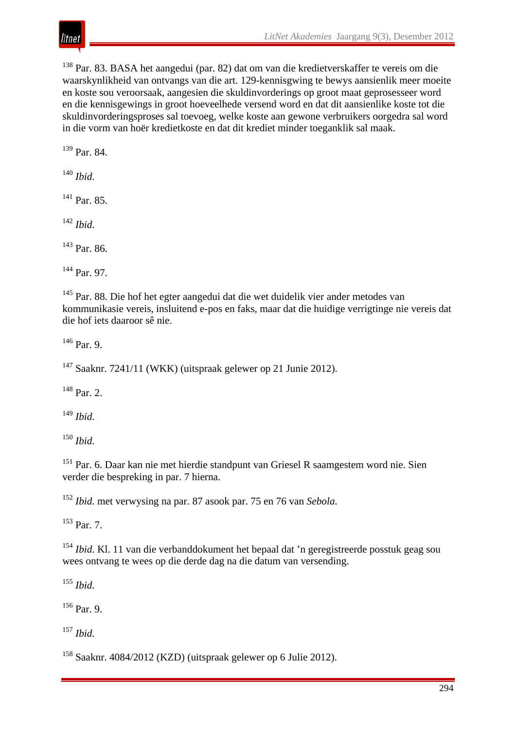<sup>138</sup> Par. 83. BASA het aangedui (par. 82) dat om van die kredietverskaffer te vereis om die waarskynlikheid van ontvangs van die art. 129-kennisgwing te bewys aansienlik meer moeite en koste sou veroorsaak, aangesien die skuldinvorderings op groot maat geprosesseer word en die kennisgewings in groot hoeveelhede versend word en dat dit aansienlike koste tot die skuldinvorderingsproses sal toevoeg, welke koste aan gewone verbruikers oorgedra sal word in die vorm van hoër kredietkoste en dat dit krediet minder toeganklik sal maak.

<sup>139</sup> Par. 84.

<sup>140</sup> *Ibid.*

<sup>141</sup> Par. 85.

<sup>142</sup> *Ibid.*

<sup>143</sup> Par. 86.

 $^{144}$  Par. 97.

<sup>145</sup> Par. 88. Die hof het egter aangedui dat die wet duidelik vier ander metodes van kommunikasie vereis, insluitend e-pos en faks, maar dat die huidige verrigtinge nie vereis dat die hof iets daaroor sê nie.

 $^{146}$  Par. 9.

 $147$  Saaknr. 7241/11 (WKK) (uitspraak gelewer op 21 Junie 2012).

 $148$  Par. 2.

<sup>149</sup> *Ibid.*

<sup>150</sup> *Ibid.*

<sup>151</sup> Par. 6. Daar kan nie met hierdie standpunt van Griesel R saamgestem word nie. Sien verder die bespreking in par. 7 hierna.

<sup>152</sup> *Ibid.* met verwysing na par. 87 asook par. 75 en 76 van *Sebola.*

 $153$  Par. 7.

<sup>154</sup> *Ibid.* Kl. 11 van die verbanddokument het bepaal dat 'n geregistreerde posstuk geag sou wees ontvang te wees op die derde dag na die datum van versending.

<sup>155</sup> *Ibid.*

 $156$  Par. 9.

<sup>157</sup> *Ibid.*

<sup>158</sup> Saaknr. 4084/2012 (KZD) (uitspraak gelewer op 6 Julie 2012).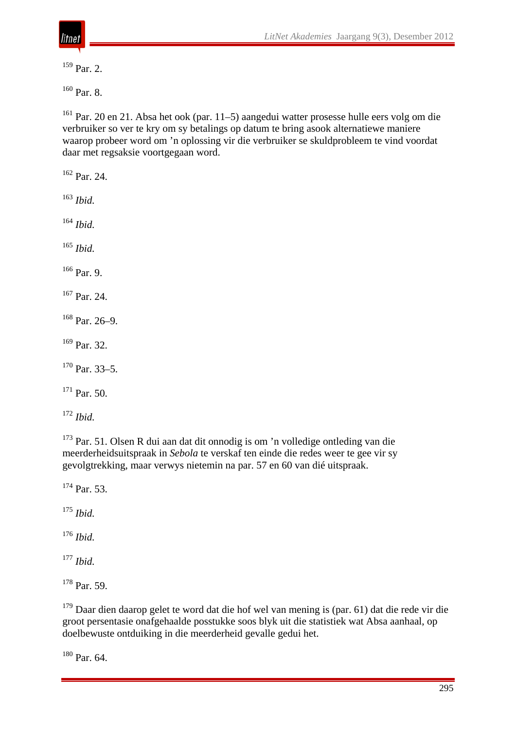

Par. 2.

<sup>160</sup> Par. 8.

 Par. 20 en 21. Absa het ook (par. 11–5) aangedui watter prosesse hulle eers volg om die verbruiker so ver te kry om sy betalings op datum te bring asook alternatiewe maniere waarop probeer word om 'n oplossing vir die verbruiker se skuldprobleem te vind voordat daar met regsaksie voortgegaan word.

 Par. 24. *Ibid. Ibid. Ibid.* Par. 9. Par. 24.

Par. 26–9.

Par. 32.

Par. 33–5.

Par. 50.

*Ibid.*

 Par. 51. Olsen R dui aan dat dit onnodig is om 'n volledige ontleding van die meerderheidsuitspraak in *Sebola* te verskaf ten einde die redes weer te gee vir sy gevolgtrekking, maar verwys nietemin na par. 57 en 60 van dié uitspraak.

<sup>174</sup> Par. 53.

*Ibid.*

*Ibid.*

*Ibid.*

Par. 59.

<sup>179</sup> Daar dien daarop gelet te word dat die hof wel van mening is (par. 61) dat die rede vir die groot persentasie onafgehaalde posstukke soos blyk uit die statistiek wat Absa aanhaal, op doelbewuste ontduiking in die meerderheid gevalle gedui het.

Par. 64.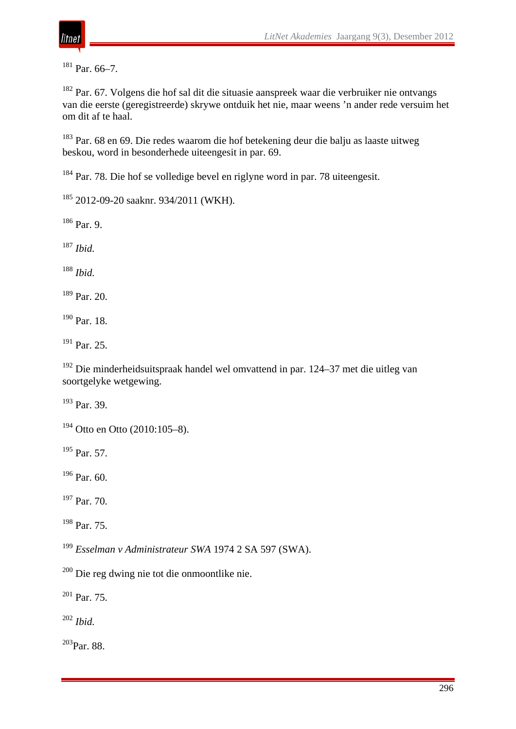

Par. 66–7.

 Par. 67. Volgens die hof sal dit die situasie aanspreek waar die verbruiker nie ontvangs van die eerste (geregistreerde) skrywe ontduik het nie, maar weens 'n ander rede versuim het om dit af te haal.

 Par. 68 en 69. Die redes waarom die hof betekening deur die balju as laaste uitweg beskou, word in besonderhede uiteengesit in par. 69.

Par. 78. Die hof se volledige bevel en riglyne word in par. 78 uiteengesit.

2012-09-20 saaknr. 934/2011 (WKH).

Par. 9.

*Ibid.*

*Ibid.*

Par. 20.

Par. 18.

<sup>191</sup> Par. 25.

 Die minderheidsuitspraak handel wel omvattend in par. 124–37 met die uitleg van soortgelyke wetgewing.

Par. 39.

Otto en Otto (2010:105–8).

<sup>195</sup> Par. 57.

Par. 60.

Par. 70.

Par. 75.

*Esselman v Administrateur SWA* 1974 2 SA 597 (SWA).

Die reg dwing nie tot die onmoontlike nie.

Par. 75.

*Ibid.*

203Par. 88.